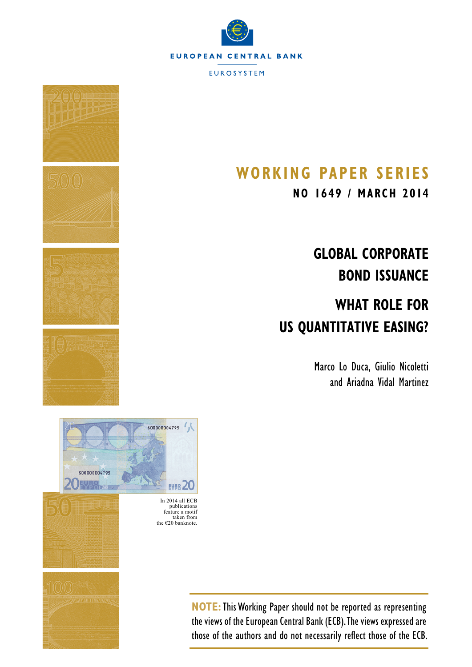



**NO 1649 / March 2014**

# **Global Corporate Bond Issuance**

# **What Role for US Quantitative Easing?**

Marco Lo Duca, Giulio Nicoletti and Ariadna Vidal Martinez





In 2014 all ECB publications feature a motif taken from the  $\epsilon$ 20 banknote.



**NOTE:**This Working Paper should not be reported as representing the views of the European Central Bank (ECB). The views expressed are those of the authors and do not necessarily reflect those of the ECB.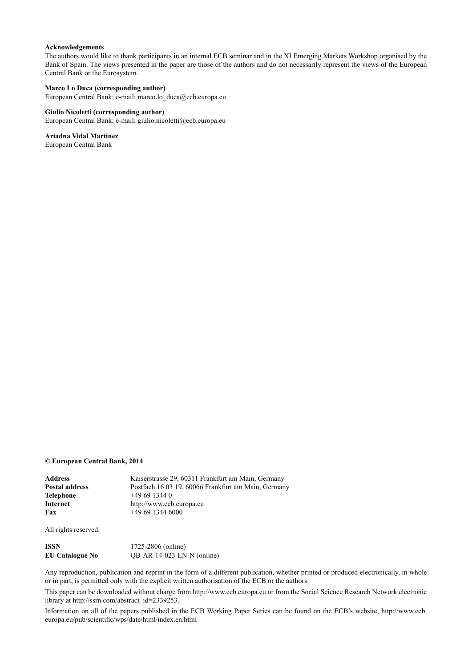#### **Acknowledgements**

The authors would like to thank [participants in an internal ECB](mailto:marco.lo_duca%40ecb.europa.eu?subject=) seminar and in the XI Emerging Markets Workshop organised by the Bank of Spain. The views presented in the paper are those of the authors and do not necessarily represent the views of the European Central Bank or the Eurosystem[.](mailto:giulio.nicoletti%40ecb.europa.eu?subject=)

#### **Marco Lo Duca (corresponding author)**

European Central Bank; e-mail: marco.lo\_duca@ecb.europa.eu

#### **Giulio Nicoletti (corresponding author)**

European Central Bank; e-mail: giulio.nicoletti@ecb.europa.eu

## **Ariadna Vidal Martinez**

European Central Bank

#### **© European Central Bank, 2014**

| Address        | Kaiserstrasse 29, 60311 Frankfurt am Main, Germany  |
|----------------|-----------------------------------------------------|
| Postal address | Postfach 16 03 19, 60066 Frankfurt am Main, Germany |
| Telephone      | $+496913440$                                        |
| Internet       | http://www.ecb.europa.eu                            |
| Fax            | $+496913446000$                                     |
|                |                                                     |

All rights reserved.

| ISSN                   | 1725-2806 (online)           |
|------------------------|------------------------------|
| <b>EU Catalogue No</b> | $QB-AR-14-023-EN-N$ (online) |

Any reproduction, publication and reprint in the form of a different publication, whether printed or produced electronically, in whole or in part, is permitted only with the explicit written authorisation of the ECB or the authors.

This paper can be downloaded without charge from http://www.ecb.europa.eu or from the Social Science Research Network electronic library at http://ssrn.com/abstract\_id=2339253.

Information on all of the papers published in the ECB Working Paper Series can be found on the ECB's website, [http://www.ecb.](http://www.ecb.europa.eu/pub/scientific/wps/date/html/index.en.html) [europa.eu/pub/scientific/wps/date/html/index.en.html](http://www.ecb.europa.eu/pub/scientific/wps/date/html/index.en.html)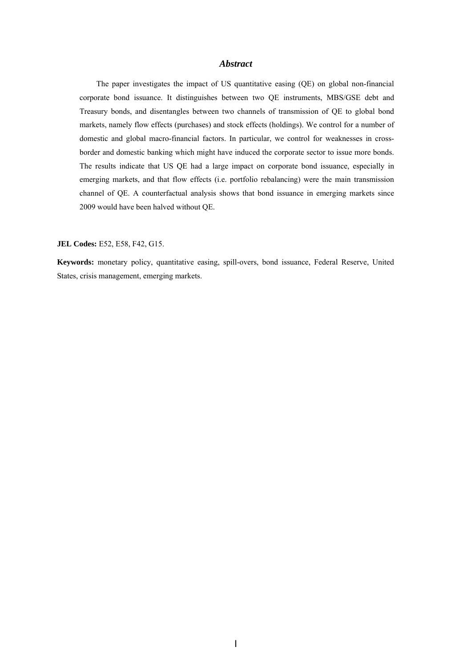#### *Abstract*

The paper investigates the impact of US quantitative easing (QE) on global non-financial corporate bond issuance. It distinguishes between two QE instruments, MBS/GSE debt and Treasury bonds, and disentangles between two channels of transmission of QE to global bond markets, namely flow effects (purchases) and stock effects (holdings). We control for a number of domestic and global macro-financial factors. In particular, we control for weaknesses in crossborder and domestic banking which might have induced the corporate sector to issue more bonds. The results indicate that US QE had a large impact on corporate bond issuance, especially in emerging markets, and that flow effects (i.e. portfolio rebalancing) were the main transmission channel of QE. A counterfactual analysis shows that bond issuance in emerging markets since 2009 would have been halved without QE.

#### **JEL Codes:** E52, E58, F42, G15.

**Keywords:** monetary policy, quantitative easing, spill-overs, bond issuance, Federal Reserve, United States, crisis management, emerging markets.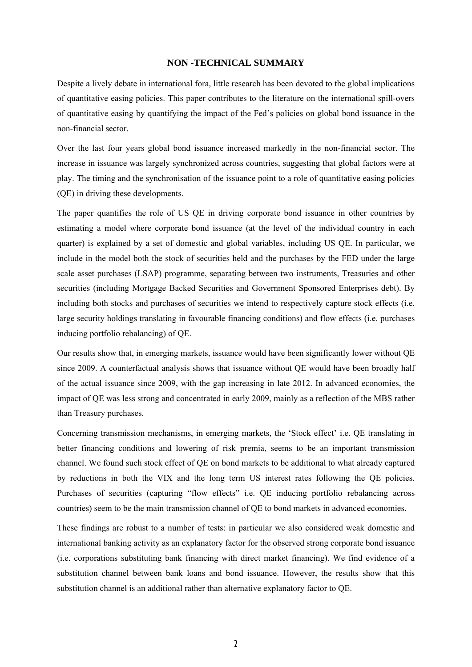### **NON -TECHNICAL SUMMARY**

Despite a lively debate in international fora, little research has been devoted to the global implications of quantitative easing policies. This paper contributes to the literature on the international spill-overs of quantitative easing by quantifying the impact of the Fed's policies on global bond issuance in the non-financial sector.

Over the last four years global bond issuance increased markedly in the non-financial sector. The increase in issuance was largely synchronized across countries, suggesting that global factors were at play. The timing and the synchronisation of the issuance point to a role of quantitative easing policies (QE) in driving these developments.

The paper quantifies the role of US QE in driving corporate bond issuance in other countries by estimating a model where corporate bond issuance (at the level of the individual country in each quarter) is explained by a set of domestic and global variables, including US QE. In particular, we include in the model both the stock of securities held and the purchases by the FED under the large scale asset purchases (LSAP) programme, separating between two instruments, Treasuries and other securities (including Mortgage Backed Securities and Government Sponsored Enterprises debt). By including both stocks and purchases of securities we intend to respectively capture stock effects (i.e. large security holdings translating in favourable financing conditions) and flow effects (i.e. purchases inducing portfolio rebalancing) of QE.

Our results show that, in emerging markets, issuance would have been significantly lower without QE since 2009. A counterfactual analysis shows that issuance without QE would have been broadly half of the actual issuance since 2009, with the gap increasing in late 2012. In advanced economies, the impact of QE was less strong and concentrated in early 2009, mainly as a reflection of the MBS rather than Treasury purchases.

Concerning transmission mechanisms, in emerging markets, the 'Stock effect' i.e. QE translating in better financing conditions and lowering of risk premia, seems to be an important transmission channel. We found such stock effect of QE on bond markets to be additional to what already captured by reductions in both the VIX and the long term US interest rates following the QE policies. Purchases of securities (capturing "flow effects" i.e. QE inducing portfolio rebalancing across countries) seem to be the main transmission channel of QE to bond markets in advanced economies.

These findings are robust to a number of tests: in particular we also considered weak domestic and international banking activity as an explanatory factor for the observed strong corporate bond issuance (i.e. corporations substituting bank financing with direct market financing). We find evidence of a substitution channel between bank loans and bond issuance. However, the results show that this substitution channel is an additional rather than alternative explanatory factor to QE.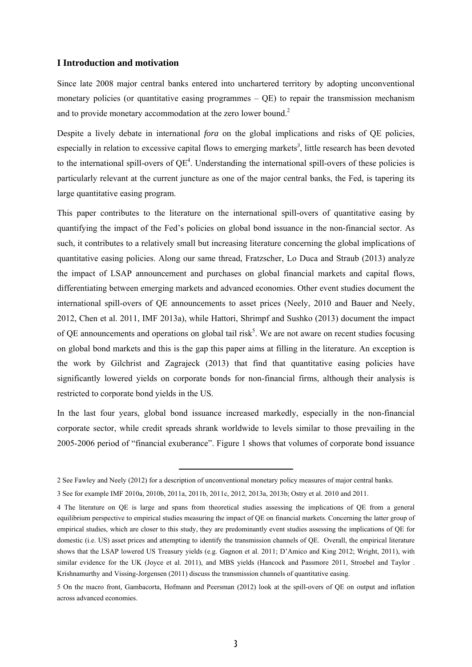## **I Introduction and motivation**

Since late 2008 major central banks entered into unchartered territory by adopting unconventional monetary policies (or quantitative easing programmes  $-$  QE) to repair the transmission mechanism and to provide monetary accommodation at the zero lower bound. $2$ 

Despite a lively debate in international *fora* on the global implications and risks of QE policies, especially in relation to excessive capital flows to emerging markets<sup>3</sup>, little research has been devoted to the international spill-overs of  $QE<sup>4</sup>$ . Understanding the international spill-overs of these policies is particularly relevant at the current juncture as one of the major central banks, the Fed, is tapering its large quantitative easing program.

This paper contributes to the literature on the international spill-overs of quantitative easing by quantifying the impact of the Fed's policies on global bond issuance in the non-financial sector. As such, it contributes to a relatively small but increasing literature concerning the global implications of quantitative easing policies. Along our same thread, Fratzscher, Lo Duca and Straub (2013) analyze the impact of LSAP announcement and purchases on global financial markets and capital flows, differentiating between emerging markets and advanced economies. Other event studies document the international spill-overs of QE announcements to asset prices (Neely, 2010 and Bauer and Neely, 2012, Chen et al. 2011, IMF 2013a), while Hattori, Shrimpf and Sushko (2013) document the impact of QE announcements and operations on global tail risk<sup>5</sup>. We are not aware on recent studies focusing on global bond markets and this is the gap this paper aims at filling in the literature. An exception is the work by Gilchrist and Zagrajeck (2013) that find that quantitative easing policies have significantly lowered yields on corporate bonds for non-financial firms, although their analysis is restricted to corporate bond yields in the US.

In the last four years, global bond issuance increased markedly, especially in the non-financial corporate sector, while credit spreads shrank worldwide to levels similar to those prevailing in the 2005-2006 period of "financial exuberance". Figure 1 shows that volumes of corporate bond issuance

<sup>2</sup> See Fawley and Neely (2012) for a description of unconventional monetary policy measures of major central banks.

<sup>3</sup> See for example IMF 2010a, 2010b, 2011a, 2011b, 2011c, 2012, 2013a, 2013b; Ostry et al. 2010 and 2011.

<sup>4</sup> The literature on QE is large and spans from theoretical studies assessing the implications of QE from a general equilibrium perspective to empirical studies measuring the impact of QE on financial markets. Concerning the latter group of empirical studies, which are closer to this study, they are predominantly event studies assessing the implications of QE for domestic (i.e. US) asset prices and attempting to identify the transmission channels of QE. Overall, the empirical literature shows that the LSAP lowered US Treasury yields (e.g. Gagnon et al. 2011; D'Amico and King 2012; Wright, 2011), with similar evidence for the UK (Joyce et al. 2011), and MBS yields (Hancock and Passmore 2011, Stroebel and Taylor . Krishnamurthy and Vissing-Jorgensen (2011) discuss the transmission channels of quantitative easing.

<sup>5</sup> On the macro front, Gambacorta, Hofmann and Peersman (2012) look at the spill-overs of QE on output and inflation across advanced economies.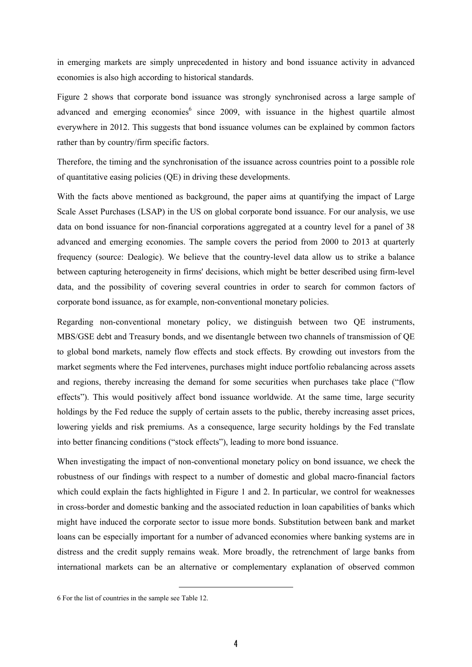in emerging markets are simply unprecedented in history and bond issuance activity in advanced economies is also high according to historical standards.

Figure 2 shows that corporate bond issuance was strongly synchronised across a large sample of advanced and emerging economies<sup>6</sup> since 2009, with issuance in the highest quartile almost everywhere in 2012. This suggests that bond issuance volumes can be explained by common factors rather than by country/firm specific factors.

Therefore, the timing and the synchronisation of the issuance across countries point to a possible role of quantitative easing policies (QE) in driving these developments.

With the facts above mentioned as background, the paper aims at quantifying the impact of Large Scale Asset Purchases (LSAP) in the US on global corporate bond issuance. For our analysis, we use data on bond issuance for non-financial corporations aggregated at a country level for a panel of 38 advanced and emerging economies. The sample covers the period from 2000 to 2013 at quarterly frequency (source: Dealogic). We believe that the country-level data allow us to strike a balance between capturing heterogeneity in firms' decisions, which might be better described using firm-level data, and the possibility of covering several countries in order to search for common factors of corporate bond issuance, as for example, non-conventional monetary policies.

Regarding non-conventional monetary policy, we distinguish between two QE instruments, MBS/GSE debt and Treasury bonds, and we disentangle between two channels of transmission of QE to global bond markets, namely flow effects and stock effects. By crowding out investors from the market segments where the Fed intervenes, purchases might induce portfolio rebalancing across assets and regions, thereby increasing the demand for some securities when purchases take place ("flow effects"). This would positively affect bond issuance worldwide. At the same time, large security holdings by the Fed reduce the supply of certain assets to the public, thereby increasing asset prices, lowering yields and risk premiums. As a consequence, large security holdings by the Fed translate into better financing conditions ("stock effects"), leading to more bond issuance.

When investigating the impact of non-conventional monetary policy on bond issuance, we check the robustness of our findings with respect to a number of domestic and global macro-financial factors which could explain the facts highlighted in Figure 1 and 2. In particular, we control for weaknesses in cross-border and domestic banking and the associated reduction in loan capabilities of banks which might have induced the corporate sector to issue more bonds. Substitution between bank and market loans can be especially important for a number of advanced economies where banking systems are in distress and the credit supply remains weak. More broadly, the retrenchment of large banks from international markets can be an alternative or complementary explanation of observed common

<sup>6</sup> For the list of countries in the sample see Table 12.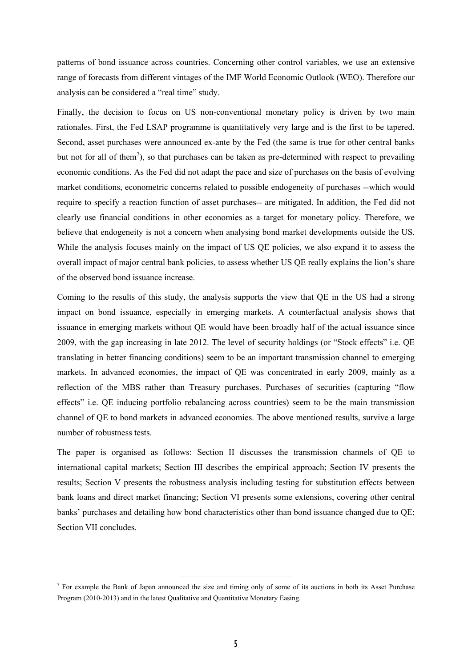patterns of bond issuance across countries. Concerning other control variables, we use an extensive range of forecasts from different vintages of the IMF World Economic Outlook (WEO). Therefore our analysis can be considered a "real time" study.

Finally, the decision to focus on US non-conventional monetary policy is driven by two main rationales. First, the Fed LSAP programme is quantitatively very large and is the first to be tapered. Second, asset purchases were announced ex-ante by the Fed (the same is true for other central banks but not for all of them<sup>7</sup>), so that purchases can be taken as pre-determined with respect to prevailing economic conditions. As the Fed did not adapt the pace and size of purchases on the basis of evolving market conditions, econometric concerns related to possible endogeneity of purchases --which would require to specify a reaction function of asset purchases-- are mitigated. In addition, the Fed did not clearly use financial conditions in other economies as a target for monetary policy. Therefore, we believe that endogeneity is not a concern when analysing bond market developments outside the US. While the analysis focuses mainly on the impact of US QE policies, we also expand it to assess the overall impact of major central bank policies, to assess whether US QE really explains the lion's share of the observed bond issuance increase.

Coming to the results of this study, the analysis supports the view that QE in the US had a strong impact on bond issuance, especially in emerging markets. A counterfactual analysis shows that issuance in emerging markets without QE would have been broadly half of the actual issuance since 2009, with the gap increasing in late 2012. The level of security holdings (or "Stock effects" i.e. QE translating in better financing conditions) seem to be an important transmission channel to emerging markets. In advanced economies, the impact of QE was concentrated in early 2009, mainly as a reflection of the MBS rather than Treasury purchases. Purchases of securities (capturing "flow effects" i.e. QE inducing portfolio rebalancing across countries) seem to be the main transmission channel of QE to bond markets in advanced economies. The above mentioned results, survive a large number of robustness tests.

The paper is organised as follows: Section II discusses the transmission channels of QE to international capital markets; Section III describes the empirical approach; Section IV presents the results; Section V presents the robustness analysis including testing for substitution effects between bank loans and direct market financing; Section VI presents some extensions, covering other central banks' purchases and detailing how bond characteristics other than bond issuance changed due to QE; Section VII concludes.

 $<sup>7</sup>$  For example the Bank of Japan announced the size and timing only of some of its auctions in both its Asset Purchase</sup> Program (2010-2013) and in the latest Qualitative and Quantitative Monetary Easing.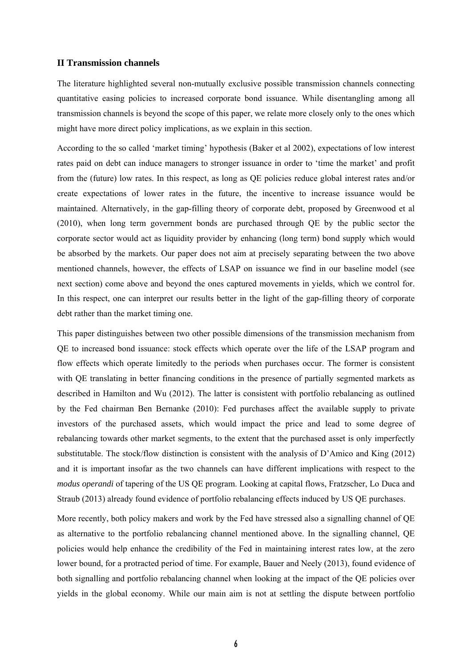#### **II Transmission channels**

The literature highlighted several non-mutually exclusive possible transmission channels connecting quantitative easing policies to increased corporate bond issuance. While disentangling among all transmission channels is beyond the scope of this paper, we relate more closely only to the ones which might have more direct policy implications, as we explain in this section.

According to the so called 'market timing' hypothesis (Baker et al 2002), expectations of low interest rates paid on debt can induce managers to stronger issuance in order to 'time the market' and profit from the (future) low rates. In this respect, as long as QE policies reduce global interest rates and/or create expectations of lower rates in the future, the incentive to increase issuance would be maintained. Alternatively, in the gap-filling theory of corporate debt, proposed by Greenwood et al (2010), when long term government bonds are purchased through QE by the public sector the corporate sector would act as liquidity provider by enhancing (long term) bond supply which would be absorbed by the markets. Our paper does not aim at precisely separating between the two above mentioned channels, however, the effects of LSAP on issuance we find in our baseline model (see next section) come above and beyond the ones captured movements in yields, which we control for. In this respect, one can interpret our results better in the light of the gap-filling theory of corporate debt rather than the market timing one.

This paper distinguishes between two other possible dimensions of the transmission mechanism from QE to increased bond issuance: stock effects which operate over the life of the LSAP program and flow effects which operate limitedly to the periods when purchases occur. The former is consistent with QE translating in better financing conditions in the presence of partially segmented markets as described in Hamilton and Wu (2012). The latter is consistent with portfolio rebalancing as outlined by the Fed chairman Ben Bernanke (2010): Fed purchases affect the available supply to private investors of the purchased assets, which would impact the price and lead to some degree of rebalancing towards other market segments, to the extent that the purchased asset is only imperfectly substitutable. The stock/flow distinction is consistent with the analysis of D'Amico and King (2012) and it is important insofar as the two channels can have different implications with respect to the *modus operandi* of tapering of the US QE program. Looking at capital flows, Fratzscher, Lo Duca and Straub (2013) already found evidence of portfolio rebalancing effects induced by US QE purchases.

More recently, both policy makers and work by the Fed have stressed also a signalling channel of QE as alternative to the portfolio rebalancing channel mentioned above. In the signalling channel, QE policies would help enhance the credibility of the Fed in maintaining interest rates low, at the zero lower bound, for a protracted period of time. For example, Bauer and Neely (2013), found evidence of both signalling and portfolio rebalancing channel when looking at the impact of the QE policies over yields in the global economy. While our main aim is not at settling the dispute between portfolio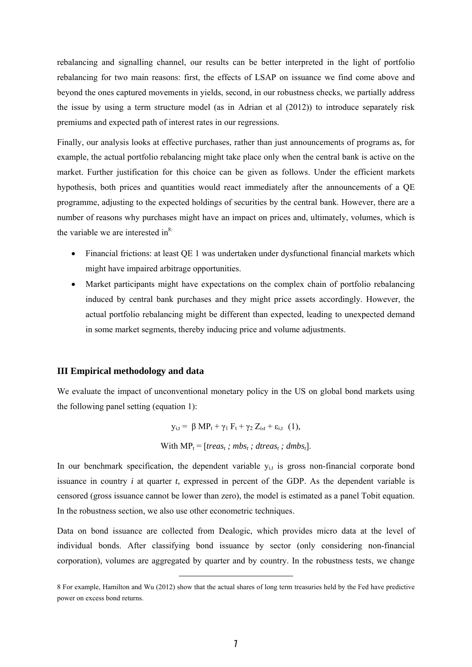rebalancing and signalling channel, our results can be better interpreted in the light of portfolio rebalancing for two main reasons: first, the effects of LSAP on issuance we find come above and beyond the ones captured movements in yields, second, in our robustness checks, we partially address the issue by using a term structure model (as in Adrian et al (2012)) to introduce separately risk premiums and expected path of interest rates in our regressions.

Finally, our analysis looks at effective purchases, rather than just announcements of programs as, for example, the actual portfolio rebalancing might take place only when the central bank is active on the market. Further justification for this choice can be given as follows. Under the efficient markets hypothesis, both prices and quantities would react immediately after the announcements of a QE programme, adjusting to the expected holdings of securities by the central bank. However, there are a number of reasons why purchases might have an impact on prices and, ultimately, volumes, which is the variable we are interested in $8$ :

- Financial frictions: at least QE 1 was undertaken under dysfunctional financial markets which might have impaired arbitrage opportunities.
- Market participants might have expectations on the complex chain of portfolio rebalancing induced by central bank purchases and they might price assets accordingly. However, the actual portfolio rebalancing might be different than expected, leading to unexpected demand in some market segments, thereby inducing price and volume adjustments.

## **III Empirical methodology and data**

We evaluate the impact of unconventional monetary policy in the US on global bond markets using the following panel setting (equation 1):

> $y_{i,t} = \beta MP_t + \gamma_1 F_t + \gamma_2 Z_{i,t} + \varepsilon_{i,t}$  (1), With  $MP_t = [treas_t; mbs_t; drees_t; dmbs_t].$

In our benchmark specification, the dependent variable  $y_{i,t}$  is gross non-financial corporate bond issuance in country *i* at quarter *t*, expressed in percent of the GDP. As the dependent variable is censored (gross issuance cannot be lower than zero), the model is estimated as a panel Tobit equation. In the robustness section, we also use other econometric techniques.

Data on bond issuance are collected from Dealogic, which provides micro data at the level of individual bonds. After classifying bond issuance by sector (only considering non-financial corporation), volumes are aggregated by quarter and by country. In the robustness tests, we change

<sup>8</sup> For example, Hamilton and Wu (2012) show that the actual shares of long term treasuries held by the Fed have predictive power on excess bond returns.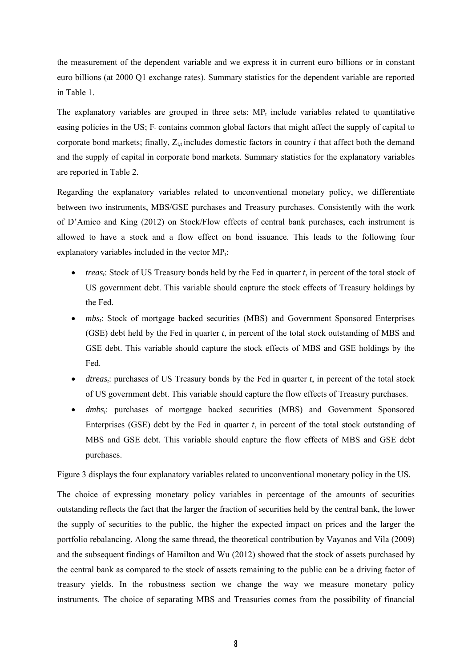the measurement of the dependent variable and we express it in current euro billions or in constant euro billions (at 2000 Q1 exchange rates). Summary statistics for the dependent variable are reported in Table 1.

The explanatory variables are grouped in three sets:  $MP_t$  include variables related to quantitative easing policies in the US;  $F_t$  contains common global factors that might affect the supply of capital to corporate bond markets; finally,  $Z_{i,t}$  includes domestic factors in country  $i$  that affect both the demand and the supply of capital in corporate bond markets. Summary statistics for the explanatory variables are reported in Table 2.

Regarding the explanatory variables related to unconventional monetary policy, we differentiate between two instruments, MBS/GSE purchases and Treasury purchases. Consistently with the work of D'Amico and King (2012) on Stock/Flow effects of central bank purchases, each instrument is allowed to have a stock and a flow effect on bond issuance. This leads to the following four explanatory variables included in the vector  $MP_t$ :

- *treas<sub>t</sub>*: Stock of US Treasury bonds held by the Fed in quarter *t*, in percent of the total stock of US government debt. This variable should capture the stock effects of Treasury holdings by the Fed.
- *mbs<sub>i</sub>*: Stock of mortgage backed securities (MBS) and Government Sponsored Enterprises (GSE) debt held by the Fed in quarter *t*, in percent of the total stock outstanding of MBS and GSE debt. This variable should capture the stock effects of MBS and GSE holdings by the Fed.
- $\bullet$  *dtreas<sub>t</sub>*: purchases of US Treasury bonds by the Fed in quarter *t*, in percent of the total stock of US government debt. This variable should capture the flow effects of Treasury purchases.
- *dmbs<sub>t</sub>*: purchases of mortgage backed securities (MBS) and Government Sponsored Enterprises (GSE) debt by the Fed in quarter *t*, in percent of the total stock outstanding of MBS and GSE debt. This variable should capture the flow effects of MBS and GSE debt purchases.

Figure 3 displays the four explanatory variables related to unconventional monetary policy in the US.

The choice of expressing monetary policy variables in percentage of the amounts of securities outstanding reflects the fact that the larger the fraction of securities held by the central bank, the lower the supply of securities to the public, the higher the expected impact on prices and the larger the portfolio rebalancing. Along the same thread, the theoretical contribution by Vayanos and Vila (2009) and the subsequent findings of Hamilton and Wu (2012) showed that the stock of assets purchased by the central bank as compared to the stock of assets remaining to the public can be a driving factor of treasury yields. In the robustness section we change the way we measure monetary policy instruments. The choice of separating MBS and Treasuries comes from the possibility of financial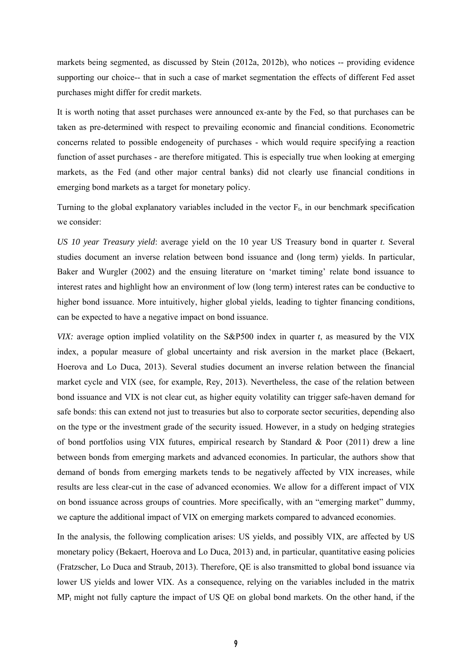markets being segmented, as discussed by Stein (2012a, 2012b), who notices -- providing evidence supporting our choice-- that in such a case of market segmentation the effects of different Fed asset purchases might differ for credit markets.

It is worth noting that asset purchases were announced ex-ante by the Fed, so that purchases can be taken as pre-determined with respect to prevailing economic and financial conditions. Econometric concerns related to possible endogeneity of purchases - which would require specifying a reaction function of asset purchases - are therefore mitigated. This is especially true when looking at emerging markets, as the Fed (and other major central banks) did not clearly use financial conditions in emerging bond markets as a target for monetary policy.

Turning to the global explanatory variables included in the vector  $F_t$ , in our benchmark specification we consider:

*US 10 year Treasury yield*: average yield on the 10 year US Treasury bond in quarter *t*. Several studies document an inverse relation between bond issuance and (long term) yields. In particular, Baker and Wurgler (2002) and the ensuing literature on 'market timing' relate bond issuance to interest rates and highlight how an environment of low (long term) interest rates can be conductive to higher bond issuance. More intuitively, higher global yields, leading to tighter financing conditions, can be expected to have a negative impact on bond issuance.

*VIX:* average option implied volatility on the S&P500 index in quarter *t*, as measured by the VIX index, a popular measure of global uncertainty and risk aversion in the market place (Bekaert, Hoerova and Lo Duca, 2013). Several studies document an inverse relation between the financial market cycle and VIX (see, for example, Rey, 2013). Nevertheless, the case of the relation between bond issuance and VIX is not clear cut, as higher equity volatility can trigger safe-haven demand for safe bonds: this can extend not just to treasuries but also to corporate sector securities, depending also on the type or the investment grade of the security issued. However, in a study on hedging strategies of bond portfolios using VIX futures, empirical research by Standard & Poor (2011) drew a line between bonds from emerging markets and advanced economies. In particular, the authors show that demand of bonds from emerging markets tends to be negatively affected by VIX increases, while results are less clear-cut in the case of advanced economies. We allow for a different impact of VIX on bond issuance across groups of countries. More specifically, with an "emerging market" dummy, we capture the additional impact of VIX on emerging markets compared to advanced economies.

In the analysis, the following complication arises: US yields, and possibly VIX, are affected by US monetary policy (Bekaert, Hoerova and Lo Duca, 2013) and, in particular, quantitative easing policies (Fratzscher, Lo Duca and Straub, 2013). Therefore, QE is also transmitted to global bond issuance via lower US yields and lower VIX. As a consequence, relying on the variables included in the matrix  $MP<sub>t</sub>$  might not fully capture the impact of US QE on global bond markets. On the other hand, if the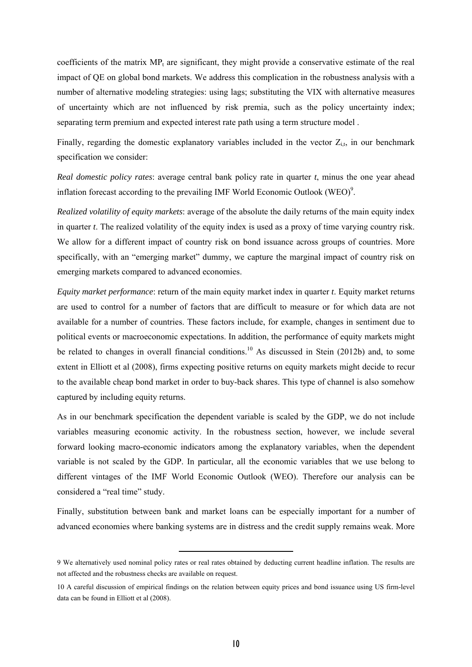coefficients of the matrix  $MP_t$  are significant, they might provide a conservative estimate of the real impact of QE on global bond markets. We address this complication in the robustness analysis with a number of alternative modeling strategies: using lags; substituting the VIX with alternative measures of uncertainty which are not influenced by risk premia, such as the policy uncertainty index; separating term premium and expected interest rate path using a term structure model .

Finally, regarding the domestic explanatory variables included in the vector  $Z_{i,t}$ , in our benchmark specification we consider:

*Real domestic policy rates*: average central bank policy rate in quarter *t*, minus the one year ahead inflation forecast according to the prevailing IMF World Economic Outlook (WEO)<sup>9</sup>.

*Realized volatility of equity markets*: average of the absolute the daily returns of the main equity index in quarter *t*. The realized volatility of the equity index is used as a proxy of time varying country risk. We allow for a different impact of country risk on bond issuance across groups of countries. More specifically, with an "emerging market" dummy, we capture the marginal impact of country risk on emerging markets compared to advanced economies.

*Equity market performance*: return of the main equity market index in quarter *t*. Equity market returns are used to control for a number of factors that are difficult to measure or for which data are not available for a number of countries. These factors include, for example, changes in sentiment due to political events or macroeconomic expectations. In addition, the performance of equity markets might be related to changes in overall financial conditions.<sup>10</sup> As discussed in Stein (2012b) and, to some extent in Elliott et al (2008), firms expecting positive returns on equity markets might decide to recur to the available cheap bond market in order to buy-back shares. This type of channel is also somehow captured by including equity returns.

As in our benchmark specification the dependent variable is scaled by the GDP, we do not include variables measuring economic activity. In the robustness section, however, we include several forward looking macro-economic indicators among the explanatory variables, when the dependent variable is not scaled by the GDP. In particular, all the economic variables that we use belong to different vintages of the IMF World Economic Outlook (WEO). Therefore our analysis can be considered a "real time" study.

Finally, substitution between bank and market loans can be especially important for a number of advanced economies where banking systems are in distress and the credit supply remains weak. More

<sup>9</sup> We alternatively used nominal policy rates or real rates obtained by deducting current headline inflation. The results are not affected and the robustness checks are available on request.

<sup>10</sup> A careful discussion of empirical findings on the relation between equity prices and bond issuance using US firm-level data can be found in Elliott et al (2008).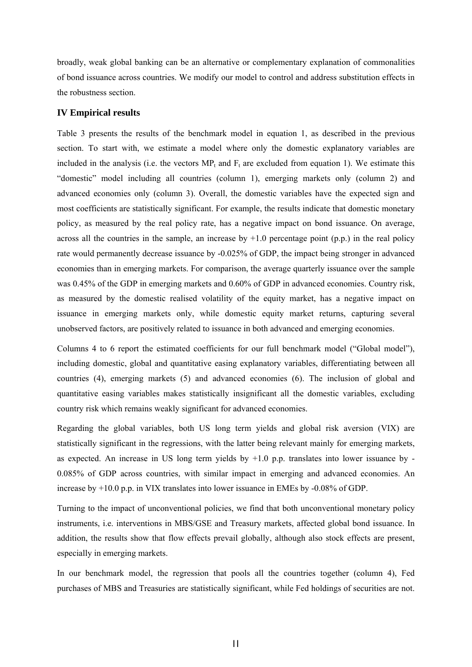broadly, weak global banking can be an alternative or complementary explanation of commonalities of bond issuance across countries. We modify our model to control and address substitution effects in the robustness section.

#### **IV Empirical results**

Table 3 presents the results of the benchmark model in equation 1, as described in the previous section. To start with, we estimate a model where only the domestic explanatory variables are included in the analysis (i.e. the vectors  $MP_t$  and  $F_t$  are excluded from equation 1). We estimate this "domestic" model including all countries (column 1), emerging markets only (column 2) and advanced economies only (column 3). Overall, the domestic variables have the expected sign and most coefficients are statistically significant. For example, the results indicate that domestic monetary policy, as measured by the real policy rate, has a negative impact on bond issuance. On average, across all the countries in the sample, an increase by  $+1.0$  percentage point (p.p.) in the real policy rate would permanently decrease issuance by -0.025% of GDP, the impact being stronger in advanced economies than in emerging markets. For comparison, the average quarterly issuance over the sample was 0.45% of the GDP in emerging markets and 0.60% of GDP in advanced economies. Country risk, as measured by the domestic realised volatility of the equity market, has a negative impact on issuance in emerging markets only, while domestic equity market returns, capturing several unobserved factors, are positively related to issuance in both advanced and emerging economies.

Columns 4 to 6 report the estimated coefficients for our full benchmark model ("Global model"), including domestic, global and quantitative easing explanatory variables, differentiating between all countries (4), emerging markets (5) and advanced economies (6). The inclusion of global and quantitative easing variables makes statistically insignificant all the domestic variables, excluding country risk which remains weakly significant for advanced economies.

Regarding the global variables, both US long term yields and global risk aversion (VIX) are statistically significant in the regressions, with the latter being relevant mainly for emerging markets, as expected. An increase in US long term yields by  $+1.0$  p.p. translates into lower issuance by -0.085% of GDP across countries, with similar impact in emerging and advanced economies. An increase by +10.0 p.p. in VIX translates into lower issuance in EMEs by -0.08% of GDP.

Turning to the impact of unconventional policies, we find that both unconventional monetary policy instruments, i.e. interventions in MBS/GSE and Treasury markets, affected global bond issuance. In addition, the results show that flow effects prevail globally, although also stock effects are present, especially in emerging markets.

In our benchmark model, the regression that pools all the countries together (column 4), Fed purchases of MBS and Treasuries are statistically significant, while Fed holdings of securities are not.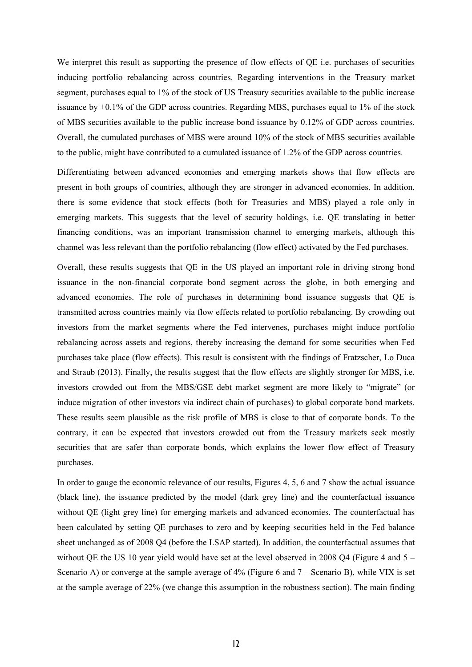We interpret this result as supporting the presence of flow effects of QE i.e. purchases of securities inducing portfolio rebalancing across countries. Regarding interventions in the Treasury market segment, purchases equal to 1% of the stock of US Treasury securities available to the public increase issuance by +0.1% of the GDP across countries. Regarding MBS, purchases equal to 1% of the stock of MBS securities available to the public increase bond issuance by 0.12% of GDP across countries. Overall, the cumulated purchases of MBS were around 10% of the stock of MBS securities available to the public, might have contributed to a cumulated issuance of 1.2% of the GDP across countries.

Differentiating between advanced economies and emerging markets shows that flow effects are present in both groups of countries, although they are stronger in advanced economies. In addition, there is some evidence that stock effects (both for Treasuries and MBS) played a role only in emerging markets. This suggests that the level of security holdings, i.e. QE translating in better financing conditions, was an important transmission channel to emerging markets, although this channel was less relevant than the portfolio rebalancing (flow effect) activated by the Fed purchases.

Overall, these results suggests that QE in the US played an important role in driving strong bond issuance in the non-financial corporate bond segment across the globe, in both emerging and advanced economies. The role of purchases in determining bond issuance suggests that QE is transmitted across countries mainly via flow effects related to portfolio rebalancing. By crowding out investors from the market segments where the Fed intervenes, purchases might induce portfolio rebalancing across assets and regions, thereby increasing the demand for some securities when Fed purchases take place (flow effects). This result is consistent with the findings of Fratzscher, Lo Duca and Straub (2013). Finally, the results suggest that the flow effects are slightly stronger for MBS, i.e. investors crowded out from the MBS/GSE debt market segment are more likely to "migrate" (or induce migration of other investors via indirect chain of purchases) to global corporate bond markets. These results seem plausible as the risk profile of MBS is close to that of corporate bonds. To the contrary, it can be expected that investors crowded out from the Treasury markets seek mostly securities that are safer than corporate bonds, which explains the lower flow effect of Treasury purchases.

In order to gauge the economic relevance of our results, Figures 4, 5, 6 and 7 show the actual issuance (black line), the issuance predicted by the model (dark grey line) and the counterfactual issuance without QE (light grey line) for emerging markets and advanced economies. The counterfactual has been calculated by setting QE purchases to zero and by keeping securities held in the Fed balance sheet unchanged as of 2008 Q4 (before the LSAP started). In addition, the counterfactual assumes that without QE the US 10 year yield would have set at the level observed in 2008 Q4 (Figure 4 and  $5 -$ Scenario A) or converge at the sample average of 4% (Figure 6 and 7 – Scenario B), while VIX is set at the sample average of 22% (we change this assumption in the robustness section). The main finding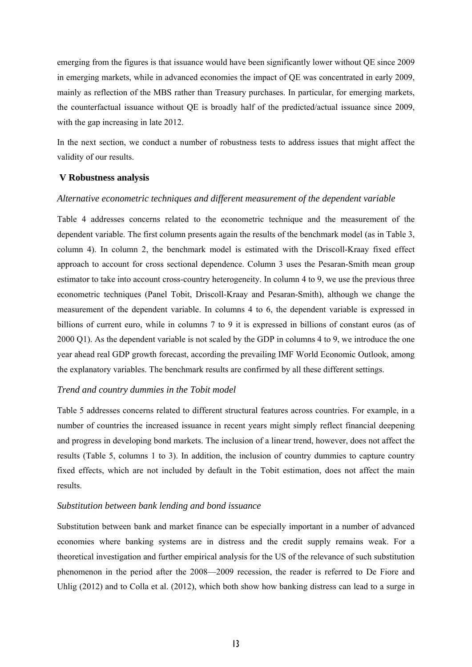emerging from the figures is that issuance would have been significantly lower without QE since 2009 in emerging markets, while in advanced economies the impact of QE was concentrated in early 2009, mainly as reflection of the MBS rather than Treasury purchases. In particular, for emerging markets, the counterfactual issuance without QE is broadly half of the predicted/actual issuance since 2009, with the gap increasing in late 2012.

In the next section, we conduct a number of robustness tests to address issues that might affect the validity of our results.

#### **V Robustness analysis**

#### *Alternative econometric techniques and different measurement of the dependent variable*

Table 4 addresses concerns related to the econometric technique and the measurement of the dependent variable. The first column presents again the results of the benchmark model (as in Table 3, column 4). In column 2, the benchmark model is estimated with the Driscoll-Kraay fixed effect approach to account for cross sectional dependence. Column 3 uses the Pesaran-Smith mean group estimator to take into account cross-country heterogeneity. In column 4 to 9, we use the previous three econometric techniques (Panel Tobit, Driscoll-Kraay and Pesaran-Smith), although we change the measurement of the dependent variable. In columns 4 to 6, the dependent variable is expressed in billions of current euro, while in columns 7 to 9 it is expressed in billions of constant euros (as of 2000 Q1). As the dependent variable is not scaled by the GDP in columns 4 to 9, we introduce the one year ahead real GDP growth forecast, according the prevailing IMF World Economic Outlook, among the explanatory variables. The benchmark results are confirmed by all these different settings.

#### *Trend and country dummies in the Tobit model*

Table 5 addresses concerns related to different structural features across countries. For example, in a number of countries the increased issuance in recent years might simply reflect financial deepening and progress in developing bond markets. The inclusion of a linear trend, however, does not affect the results (Table 5, columns 1 to 3). In addition, the inclusion of country dummies to capture country fixed effects, which are not included by default in the Tobit estimation, does not affect the main results.

## *Substitution between bank lending and bond issuance*

Substitution between bank and market finance can be especially important in a number of advanced economies where banking systems are in distress and the credit supply remains weak. For a theoretical investigation and further empirical analysis for the US of the relevance of such substitution phenomenon in the period after the 2008—2009 recession, the reader is referred to De Fiore and Uhlig (2012) and to Colla et al. (2012), which both show how banking distress can lead to a surge in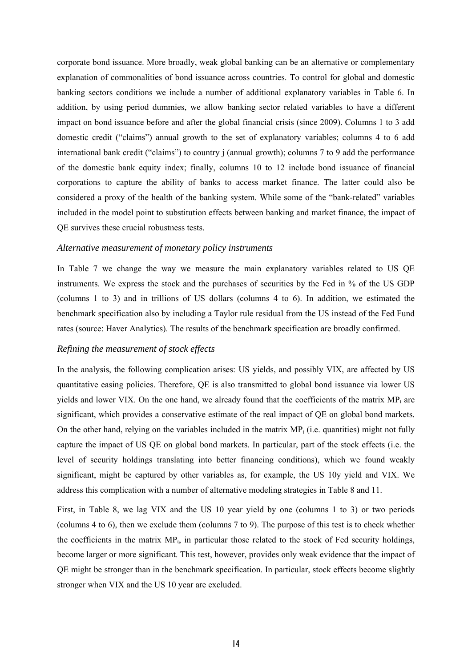corporate bond issuance. More broadly, weak global banking can be an alternative or complementary explanation of commonalities of bond issuance across countries. To control for global and domestic banking sectors conditions we include a number of additional explanatory variables in Table 6. In addition, by using period dummies, we allow banking sector related variables to have a different impact on bond issuance before and after the global financial crisis (since 2009). Columns 1 to 3 add domestic credit ("claims") annual growth to the set of explanatory variables; columns 4 to 6 add international bank credit ("claims") to country j (annual growth); columns 7 to 9 add the performance of the domestic bank equity index; finally, columns 10 to 12 include bond issuance of financial corporations to capture the ability of banks to access market finance. The latter could also be considered a proxy of the health of the banking system. While some of the "bank-related" variables included in the model point to substitution effects between banking and market finance, the impact of QE survives these crucial robustness tests.

## *Alternative measurement of monetary policy instruments*

In Table 7 we change the way we measure the main explanatory variables related to US QE instruments. We express the stock and the purchases of securities by the Fed in % of the US GDP (columns 1 to 3) and in trillions of US dollars (columns 4 to 6). In addition, we estimated the benchmark specification also by including a Taylor rule residual from the US instead of the Fed Fund rates (source: Haver Analytics). The results of the benchmark specification are broadly confirmed.

#### *Refining the measurement of stock effects*

In the analysis, the following complication arises: US yields, and possibly VIX, are affected by US quantitative easing policies. Therefore, QE is also transmitted to global bond issuance via lower US yields and lower VIX. On the one hand, we already found that the coefficients of the matrix  $MP_t$  are significant, which provides a conservative estimate of the real impact of QE on global bond markets. On the other hand, relying on the variables included in the matrix  $MP_t$  (i.e. quantities) might not fully capture the impact of US QE on global bond markets. In particular, part of the stock effects (i.e. the level of security holdings translating into better financing conditions), which we found weakly significant, might be captured by other variables as, for example, the US 10y yield and VIX. We address this complication with a number of alternative modeling strategies in Table 8 and 11.

First, in Table 8, we lag VIX and the US 10 year yield by one (columns 1 to 3) or two periods (columns 4 to 6), then we exclude them (columns 7 to 9). The purpose of this test is to check whether the coefficients in the matrix  $MP_t$ , in particular those related to the stock of Fed security holdings, become larger or more significant. This test, however, provides only weak evidence that the impact of QE might be stronger than in the benchmark specification. In particular, stock effects become slightly stronger when VIX and the US 10 year are excluded.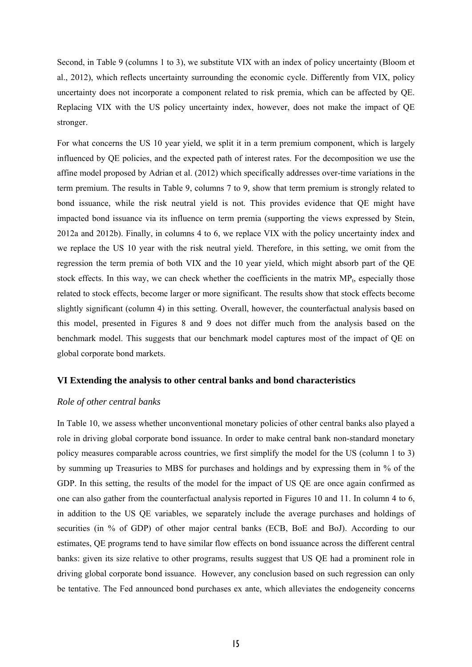Second, in Table 9 (columns 1 to 3), we substitute VIX with an index of policy uncertainty (Bloom et al., 2012), which reflects uncertainty surrounding the economic cycle. Differently from VIX, policy uncertainty does not incorporate a component related to risk premia, which can be affected by QE. Replacing VIX with the US policy uncertainty index, however, does not make the impact of QE stronger.

For what concerns the US 10 year yield, we split it in a term premium component, which is largely influenced by QE policies, and the expected path of interest rates. For the decomposition we use the affine model proposed by Adrian et al. (2012) which specifically addresses over-time variations in the term premium. The results in Table 9, columns 7 to 9, show that term premium is strongly related to bond issuance, while the risk neutral yield is not. This provides evidence that QE might have impacted bond issuance via its influence on term premia (supporting the views expressed by Stein, 2012a and 2012b). Finally, in columns 4 to 6, we replace VIX with the policy uncertainty index and we replace the US 10 year with the risk neutral yield. Therefore, in this setting, we omit from the regression the term premia of both VIX and the 10 year yield, which might absorb part of the QE stock effects. In this way, we can check whether the coefficients in the matrix  $MP_t$ , especially those related to stock effects, become larger or more significant. The results show that stock effects become slightly significant (column 4) in this setting. Overall, however, the counterfactual analysis based on this model, presented in Figures 8 and 9 does not differ much from the analysis based on the benchmark model. This suggests that our benchmark model captures most of the impact of QE on global corporate bond markets.

## **VI Extending the analysis to other central banks and bond characteristics**

## *Role of other central banks*

In Table 10, we assess whether unconventional monetary policies of other central banks also played a role in driving global corporate bond issuance. In order to make central bank non-standard monetary policy measures comparable across countries, we first simplify the model for the US (column 1 to 3) by summing up Treasuries to MBS for purchases and holdings and by expressing them in % of the GDP. In this setting, the results of the model for the impact of US QE are once again confirmed as one can also gather from the counterfactual analysis reported in Figures 10 and 11. In column 4 to 6, in addition to the US QE variables, we separately include the average purchases and holdings of securities (in % of GDP) of other major central banks (ECB, BoE and BoJ). According to our estimates, QE programs tend to have similar flow effects on bond issuance across the different central banks: given its size relative to other programs, results suggest that US QE had a prominent role in driving global corporate bond issuance. However, any conclusion based on such regression can only be tentative. The Fed announced bond purchases ex ante, which alleviates the endogeneity concerns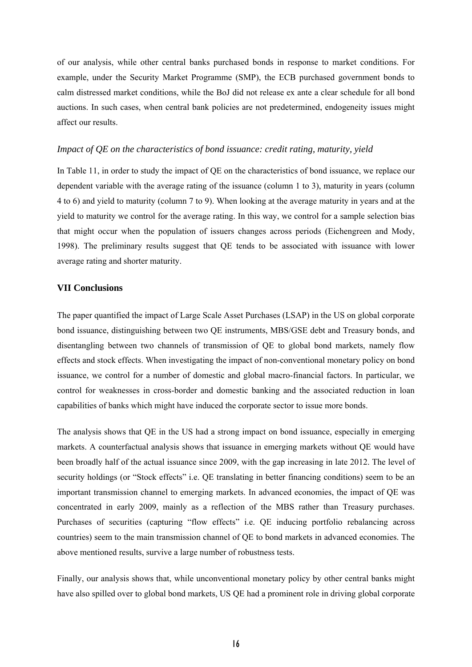of our analysis, while other central banks purchased bonds in response to market conditions. For example, under the Security Market Programme (SMP), the ECB purchased government bonds to calm distressed market conditions, while the BoJ did not release ex ante a clear schedule for all bond auctions. In such cases, when central bank policies are not predetermined, endogeneity issues might affect our results.

## *Impact of QE on the characteristics of bond issuance: credit rating, maturity, yield*

In Table 11, in order to study the impact of QE on the characteristics of bond issuance, we replace our dependent variable with the average rating of the issuance (column 1 to 3), maturity in years (column 4 to 6) and yield to maturity (column 7 to 9). When looking at the average maturity in years and at the yield to maturity we control for the average rating. In this way, we control for a sample selection bias that might occur when the population of issuers changes across periods (Eichengreen and Mody, 1998). The preliminary results suggest that QE tends to be associated with issuance with lower average rating and shorter maturity.

#### **VII Conclusions**

The paper quantified the impact of Large Scale Asset Purchases (LSAP) in the US on global corporate bond issuance, distinguishing between two QE instruments, MBS/GSE debt and Treasury bonds, and disentangling between two channels of transmission of QE to global bond markets, namely flow effects and stock effects. When investigating the impact of non-conventional monetary policy on bond issuance, we control for a number of domestic and global macro-financial factors. In particular, we control for weaknesses in cross-border and domestic banking and the associated reduction in loan capabilities of banks which might have induced the corporate sector to issue more bonds.

The analysis shows that QE in the US had a strong impact on bond issuance, especially in emerging markets. A counterfactual analysis shows that issuance in emerging markets without QE would have been broadly half of the actual issuance since 2009, with the gap increasing in late 2012. The level of security holdings (or "Stock effects" i.e. QE translating in better financing conditions) seem to be an important transmission channel to emerging markets. In advanced economies, the impact of QE was concentrated in early 2009, mainly as a reflection of the MBS rather than Treasury purchases. Purchases of securities (capturing "flow effects" i.e. QE inducing portfolio rebalancing across countries) seem to the main transmission channel of QE to bond markets in advanced economies. The above mentioned results, survive a large number of robustness tests.

Finally, our analysis shows that, while unconventional monetary policy by other central banks might have also spilled over to global bond markets, US QE had a prominent role in driving global corporate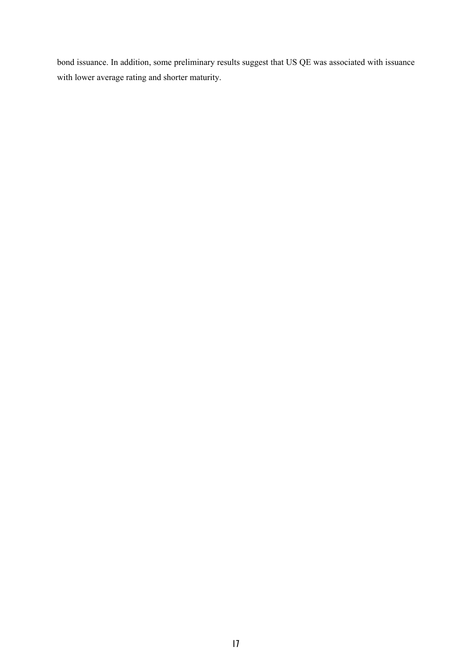bond issuance. In addition, some preliminary results suggest that US QE was associated with issuance with lower average rating and shorter maturity.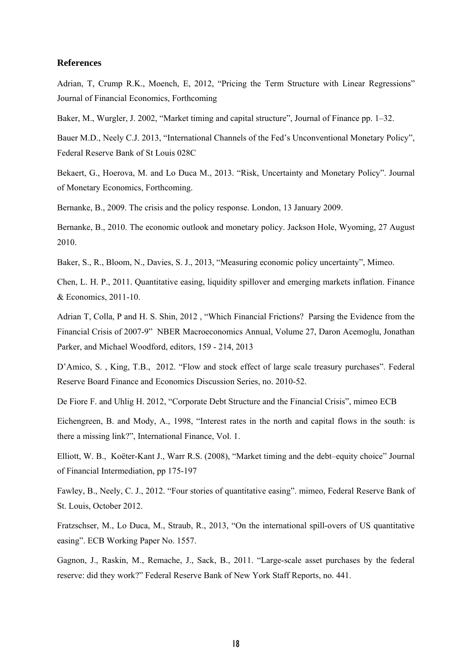## **References**

Adrian, T, Crump R.K., Moench, E, 2012, "Pricing the Term Structure with Linear Regressions" Journal of Financial Economics, Forthcoming

Baker, M., Wurgler, J. 2002, "Market timing and capital structure", Journal of Finance pp. 1–32.

Bauer M.D., Neely C.J. 2013, "International Channels of the Fed's Unconventional Monetary Policy", Federal Reserve Bank of St Louis 028C

Bekaert, G., Hoerova, M. and Lo Duca M., 2013. "Risk, Uncertainty and Monetary Policy". Journal of Monetary Economics, Forthcoming.

Bernanke, B., 2009. The crisis and the policy response. London, 13 January 2009.

Bernanke, B., 2010. The economic outlook and monetary policy. Jackson Hole, Wyoming, 27 August 2010.

Baker, S., R., Bloom, N., Davies, S. J., 2013, "Measuring economic policy uncertainty", Mimeo.

Chen, L. H. P., 2011. Quantitative easing, liquidity spillover and emerging markets inflation. Finance & Economics, 2011-10.

Adrian T, Colla, P and H. S. Shin, 2012 , "Which Financial Frictions? Parsing the Evidence from the Financial Crisis of 2007-9" NBER Macroeconomics Annual, Volume 27, Daron Acemoglu, Jonathan Parker, and Michael Woodford, editors, 159 - 214, 2013

D'Amico, S. , King, T.B., 2012. "Flow and stock effect of large scale treasury purchases". Federal Reserve Board Finance and Economics Discussion Series, no. 2010-52.

De Fiore F. and Uhlig H. 2012, "Corporate Debt Structure and the Financial Crisis", mimeo ECB

Eichengreen, B. and Mody, A., 1998, "Interest rates in the north and capital flows in the south: is there a missing link?", International Finance, Vol. 1.

Elliott, W. B., Koëter-Kant J., Warr R.S. (2008), "Market timing and the debt–equity choice" Journal of Financial Intermediation, pp 175-197

Fawley, B., Neely, C. J., 2012. "Four stories of quantitative easing". mimeo, Federal Reserve Bank of St. Louis, October 2012.

Fratzschser, M., Lo Duca, M., Straub, R., 2013, "On the international spill-overs of US quantitative easing". ECB Working Paper No. 1557.

Gagnon, J., Raskin, M., Remache, J., Sack, B., 2011. "Large-scale asset purchases by the federal reserve: did they work?" Federal Reserve Bank of New York Staff Reports, no. 441.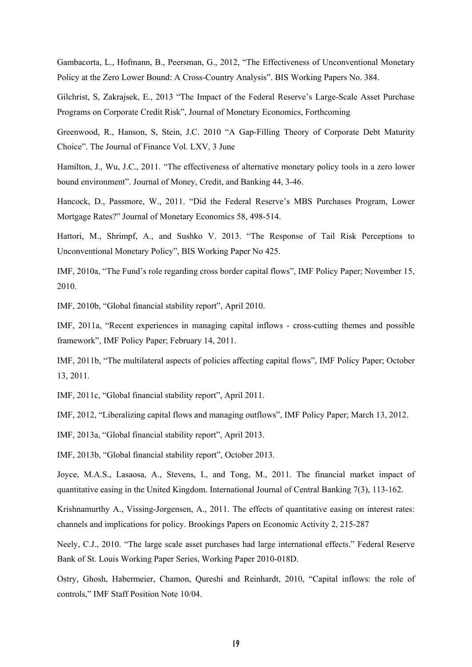Gambacorta, L., Hofmann, B., Peersman, G., 2012, "The Effectiveness of Unconventional Monetary Policy at the Zero Lower Bound: A Cross-Country Analysis". BIS Working Papers No. 384.

Gilchrist, S, Zakrajsek, E., 2013 "The Impact of the Federal Reserve's Large-Scale Asset Purchase Programs on Corporate Credit Risk", Journal of Monetary Economics, Forthcoming

Greenwood, R., Hanson, S, Stein, J.C. 2010 "A Gap-Filling Theory of Corporate Debt Maturity Choice". The Journal of Finance Vol. LXV, 3 June

Hamilton, J., Wu, J.C., 2011. "The effectiveness of alternative monetary policy tools in a zero lower bound environment". Journal of Money, Credit, and Banking 44, 3-46.

Hancock, D., Passmore, W., 2011. "Did the Federal Reserve's MBS Purchases Program, Lower Mortgage Rates?" Journal of Monetary Economics 58, 498-514.

Hattori, M., Shrimpf, A., and Sushko V. 2013. "The Response of Tail Risk Perceptions to Unconventional Monetary Policy", BIS Working Paper No 425.

IMF, 2010a, "The Fund's role regarding cross border capital flows", IMF Policy Paper; November 15, 2010.

IMF, 2010b, "Global financial stability report", April 2010.

IMF, 2011a, "Recent experiences in managing capital inflows - cross-cutting themes and possible framework", IMF Policy Paper; February 14, 2011.

IMF, 2011b, "The multilateral aspects of policies affecting capital flows", IMF Policy Paper; October 13, 2011.

IMF, 2011c, "Global financial stability report", April 2011.

IMF, 2012, "Liberalizing capital flows and managing outflows", IMF Policy Paper; March 13, 2012.

IMF, 2013a, "Global financial stability report", April 2013.

IMF, 2013b, "Global financial stability report", October 2013.

Joyce, M.A.S., Lasaosa, A., Stevens, I., and Tong, M., 2011. The financial market impact of quantitative easing in the United Kingdom. International Journal of Central Banking 7(3), 113-162.

Krishnamurthy A., Vissing-Jorgensen, A., 2011. The effects of quantitative easing on interest rates: channels and implications for policy. Brookings Papers on Economic Activity 2, 215-287

Neely, C.J., 2010. "The large scale asset purchases had large international effects." Federal Reserve Bank of St. Louis Working Paper Series, Working Paper 2010-018D.

Ostry, Ghosh, Habermeier, Chamon, Qureshi and Reinhardt, 2010, "Capital inflows: the role of controls," IMF Staff Position Note 10/04.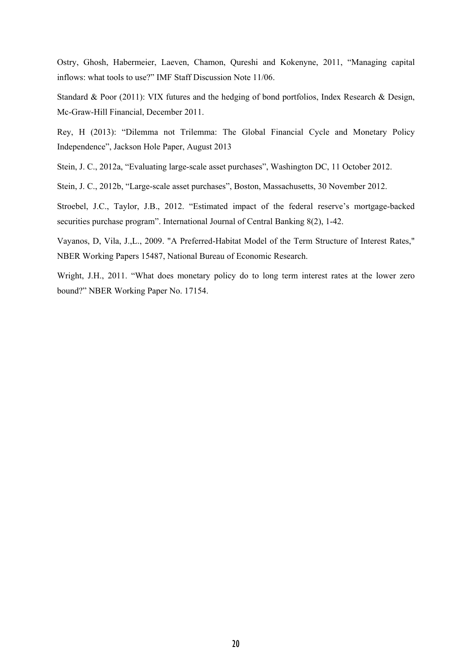Ostry, Ghosh, Habermeier, Laeven, Chamon, Qureshi and Kokenyne, 2011, "Managing capital inflows: what tools to use?" IMF Staff Discussion Note 11/06.

Standard & Poor (2011): VIX futures and the hedging of bond portfolios, Index Research & Design, Mc-Graw-Hill Financial, December 2011.

Rey, H (2013): "Dilemma not Trilemma: The Global Financial Cycle and Monetary Policy Independence", Jackson Hole Paper, August 2013

Stein, J. C., 2012a, "Evaluating large-scale asset purchases", Washington DC, 11 October 2012.

Stein, J. C., 2012b, "Large-scale asset purchases", Boston, Massachusetts, 30 November 2012.

Stroebel, J.C., Taylor, J.B., 2012. "Estimated impact of the federal reserve's mortgage-backed securities purchase program". International Journal of Central Banking 8(2), 1-42.

Vayanos, D, Vila, J.,L., 2009. "A Preferred-Habitat Model of the Term Structure of Interest Rates," NBER Working Papers 15487, National Bureau of Economic Research.

Wright, J.H., 2011. "What does monetary policy do to long term interest rates at the lower zero bound?" NBER Working Paper No. 17154.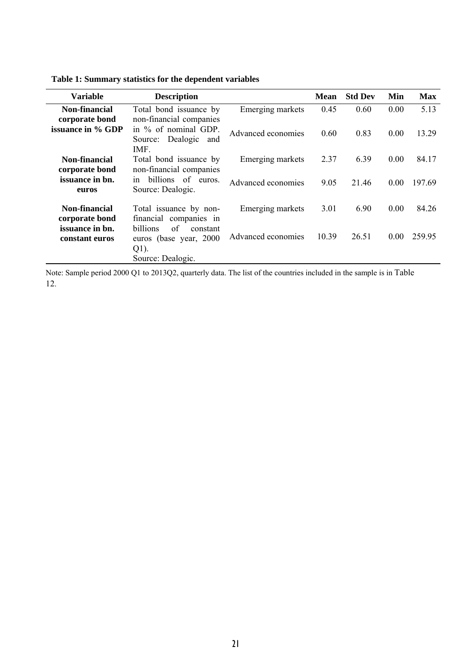| <b>Variable</b>                                     | <b>Description</b>                                                                                                    |                    | <b>Mean</b> | <b>Std Dev</b> | Min  | <b>Max</b> |
|-----------------------------------------------------|-----------------------------------------------------------------------------------------------------------------------|--------------------|-------------|----------------|------|------------|
| <b>Non-financial</b>                                | Total bond issuance by                                                                                                | Emerging markets   | 0.45        | 0.60           | 0.00 | 5.13       |
| corporate bond<br>issuance in % GDP                 | non-financial companies<br>in % of nominal GDP.<br>Source: Dealogic<br>and<br>IMF.                                    | Advanced economies | 0.60        | 0.83           | 0.00 | 13.29      |
| Non-financial                                       | Total bond issuance by                                                                                                | Emerging markets   | 2.37        | 6.39           | 0.00 | 84.17      |
| corporate bond<br>issuance in bn.<br>euros          | non-financial companies<br>billions of euros.<br>1n<br>Source: Dealogic.                                              | Advanced economies | 9.05        | 21.46          | 0.00 | 197.69     |
| <b>Non-financial</b>                                | Total issuance by non-                                                                                                | Emerging markets   | 3.01        | 6.90           | 0.00 | 84.26      |
| corporate bond<br>issuance in bn.<br>constant euros | financial companies in<br>of<br><b>billions</b><br>constant<br>euros (base year, 2000<br>$Q1$ ).<br>Source: Dealogic. | Advanced economies | 10.39       | 26.51          | 0.00 | 259.95     |

**Table 1: Summary statistics for the dependent variables**

Note: Sample period 2000 Q1 to 2013Q2, quarterly data. The list of the countries included in the sample is in Table 12.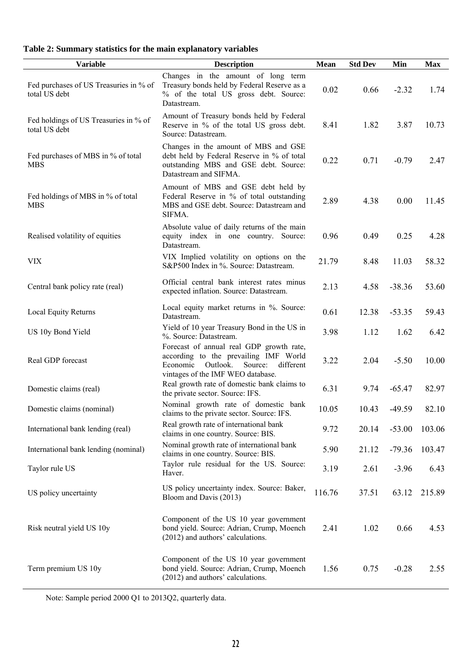## **Table 2: Summary statistics for the main explanatory variables**

| <b>Variable</b>                                         | <b>Description</b>                                                                                                                                               | <b>Mean</b> | <b>Std Dev</b> | Min      | <b>Max</b> |
|---------------------------------------------------------|------------------------------------------------------------------------------------------------------------------------------------------------------------------|-------------|----------------|----------|------------|
| Fed purchases of US Treasuries in % of<br>total US debt | Changes in the amount of long term<br>Treasury bonds held by Federal Reserve as a<br>% of the total US gross debt. Source:<br>Datastream.                        | 0.02        | 0.66           | $-2.32$  | 1.74       |
| Fed holdings of US Treasuries in % of<br>total US debt  | Amount of Treasury bonds held by Federal<br>Reserve in % of the total US gross debt.<br>Source: Datastream.                                                      | 8.41        | 1.82           | 3.87     | 10.73      |
| Fed purchases of MBS in % of total<br>MBS               | Changes in the amount of MBS and GSE<br>debt held by Federal Reserve in % of total<br>outstanding MBS and GSE debt. Source:<br>Datastream and SIFMA.             | 0.22        | 0.71           | $-0.79$  | 2.47       |
| Fed holdings of MBS in % of total<br><b>MBS</b>         | Amount of MBS and GSE debt held by<br>Federal Reserve in % of total outstanding<br>MBS and GSE debt. Source: Datastream and<br>SIFMA.                            | 2.89        | 4.38           | 0.00     | 11.45      |
| Realised volatility of equities                         | Absolute value of daily returns of the main<br>equity index in one country. Source:<br>Datastream.                                                               | 0.96        | 0.49           | 0.25     | 4.28       |
| <b>VIX</b>                                              | VIX Implied volatility on options on the<br>S&P500 Index in %. Source: Datastream.                                                                               | 21.79       | 8.48           | 11.03    | 58.32      |
| Central bank policy rate (real)                         | Official central bank interest rates minus<br>expected inflation. Source: Datastream.                                                                            | 2.13        | 4.58           | $-38.36$ | 53.60      |
| Local Equity Returns                                    | Local equity market returns in %. Source:<br>Datastream.                                                                                                         | 0.61        | 12.38          | $-53.35$ | 59.43      |
| US 10y Bond Yield                                       | Yield of 10 year Treasury Bond in the US in<br>%. Source: Datastream.                                                                                            | 3.98        | 1.12           | 1.62     | 6.42       |
| Real GDP forecast                                       | Forecast of annual real GDP growth rate,<br>according to the prevailing IMF World<br>Economic Outlook.<br>Source: different<br>vintages of the IMF WEO database. | 3.22        | 2.04           | $-5.50$  | 10.00      |
| Domestic claims (real)                                  | Real growth rate of domestic bank claims to<br>the private sector. Source: IFS.                                                                                  | 6.31        | 9.74           | $-65.47$ | 82.97      |
| Domestic claims (nominal)                               | Nominal growth rate of domestic bank<br>claims to the private sector. Source: IFS.                                                                               | 10.05       | 10.43          | $-49.59$ | 82.10      |
| International bank lending (real)                       | Real growth rate of international bank<br>claims in one country. Source: BIS.                                                                                    | 9.72        | 20.14          | $-53.00$ | 103.06     |
| International bank lending (nominal)                    | Nominal growth rate of international bank<br>claims in one country. Source: BIS.                                                                                 | 5.90        | 21.12          | $-79.36$ | 103.47     |
| Taylor rule US                                          | Taylor rule residual for the US. Source:<br>Haver.                                                                                                               | 3.19        | 2.61           | $-3.96$  | 6.43       |
| US policy uncertainty                                   | US policy uncertainty index. Source: Baker,<br>Bloom and Davis (2013)                                                                                            | 116.76      | 37.51          | 63.12    | 215.89     |
| Risk neutral yield US 10y                               | Component of the US 10 year government<br>bond yield. Source: Adrian, Crump, Moench<br>(2012) and authors' calculations.                                         | 2.41        | 1.02           | 0.66     | 4.53       |
| Term premium US 10y                                     | Component of the US 10 year government<br>bond yield. Source: Adrian, Crump, Moench<br>(2012) and authors' calculations.                                         | 1.56        | 0.75           | $-0.28$  | 2.55       |

Note: Sample period 2000 Q1 to 2013Q2, quarterly data.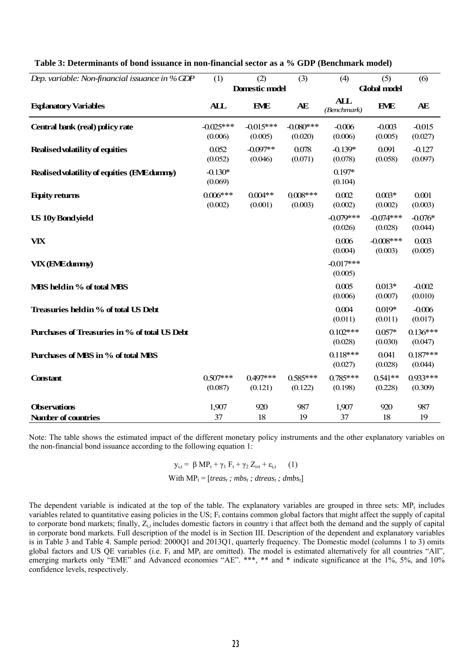| Dep. variable: Non-financial issuance in %GDP | (1)                    | (2)                    | (3)                    | (4)                       | (5)                    | (6)                   |
|-----------------------------------------------|------------------------|------------------------|------------------------|---------------------------|------------------------|-----------------------|
|                                               |                        | Domestic model         |                        |                           | Global model           |                       |
| <b>Explanatory Variables</b>                  | <b>ALL</b>             | <b>EME</b>             | AE                     | <b>ALL</b><br>(Benchmark) | <b>EME</b>             | AE                    |
| Central bank (real) policy rate               | $-0.025***$<br>(0.006) | $-0.015***$<br>(0.005) | $-0.080***$<br>(0.020) | $-0.006$<br>(0.006)       | $-0.003$<br>(0.005)    | $-0.015$<br>(0.027)   |
| <b>Realised volatility of equities</b>        | 0.052<br>(0.052)       | $-0.097**$<br>(0.046)  | 0.078<br>(0.071)       | $-0.139*$<br>(0.078)      | 0.091<br>(0.058)       | $-0.127$<br>(0.097)   |
| Realised volatility of equities (EMEdunny)    | $-0.130*$<br>(0.069)   |                        |                        | $0.197*$<br>(0.104)       |                        |                       |
| <b>Equity returns</b>                         | $0.006***$<br>(0.002)  | $0.004**$<br>(0.001)   | $0.008***$<br>(0.003)  | 0.002<br>(0.002)          | $0.003*$<br>(0.002)    | 0.001<br>(0.003)      |
| US 10y Bond yield                             |                        |                        |                        | $-0.079***$<br>(0.026)    | $-0.074***$<br>(0.028) | $-0.076*$<br>(0.044)  |
| <b>VIX</b>                                    |                        |                        |                        | 0.006<br>(0.004)          | $-0.008***$<br>(0.003) | 0.003<br>(0.005)      |
| <b>VIX (EVE dumny)</b>                        |                        |                        |                        | $-0.017***$<br>(0.005)    |                        |                       |
| MBS heldin % of total MBS                     |                        |                        |                        | 0.005<br>(0.006)          | $0.013*$<br>(0.007)    | $-0.002$<br>(0.010)   |
| Treasuries heldin % of total US Debt          |                        |                        |                        | 0.004<br>(0.011)          | $0.019*$<br>(0.011)    | $-0.006$<br>(0.017)   |
| Purchases of Treasuries in % of total US Debt |                        |                        |                        | $0.102***$<br>(0.028)     | $0.057*$<br>(0.030)    | $0.136***$<br>(0.047) |
| Purchases of MBS in % of total MBS            |                        |                        |                        | $0.118***$<br>(0.027)     | 0.041<br>(0.028)       | $0.187***$<br>(0.044) |
| <b>Constant</b>                               | $0.507***$<br>(0.087)  | $0.497***$<br>(0.121)  | $0.585***$<br>(0.122)  | $0.785***$<br>(0.198)     | $0.541**$<br>(0.228)   | $0.933***$<br>(0.309) |
| <b>Observations</b>                           | 1,907                  | 920                    | 987                    | 1,907                     | 920                    | 987                   |
| <b>Number of countries</b>                    | 37                     | 18                     | 19                     | 37                        | 18                     | 19                    |

#### **Table 3: Determinants of bond issuance in non-financial sector as a % GDP (Benchmark model)**

Note: The table shows the estimated impact of the different monetary policy instruments and the other explanatory variables on the non-financial bond issuance according to the following equation 1:

$$
y_{i,t} = \beta \text{ MP}_{t} + \gamma_1 \text{ F}_{t} + \gamma_2 \text{ Z}_{i,t} + \varepsilon_{i,t} \qquad (1)
$$
  
With MP<sub>t</sub> = [*treas<sub>t</sub>* ; *mbs<sub>t</sub>* ; *dtreas<sub>t</sub>* ; *dhbs<sub>t</sub>*]

The dependent variable is indicated at the top of the table. The explanatory variables are grouped in three sets:  $MP_t$  includes variables related to quantitative easing policies in the US; F<sub>t</sub> contains common global factors that might affect the supply of capital to corporate bond markets; finally,  $Z_{i,t}$  includes domestic factors in country i that affect both the demand and the supply of capital in corporate bond markets. Full description of the model is in Section III. Description of the dependent and explanatory variables is in Table 3 and Table 4. Sample period: 2000Q1 and 2013Q1, quarterly frequency. The Domestic model (columns 1 to 3) omits global factors and US QE variables (i.e.  $F_t$  and MP<sub>t</sub> are omitted). The model is estimated alternatively for all countries "All", emerging markets only "EME" and Advanced economies "AE". \*\*\*, \*\* and \* indicate significance at the 1%, 5%, and 10% confidence levels, respectively.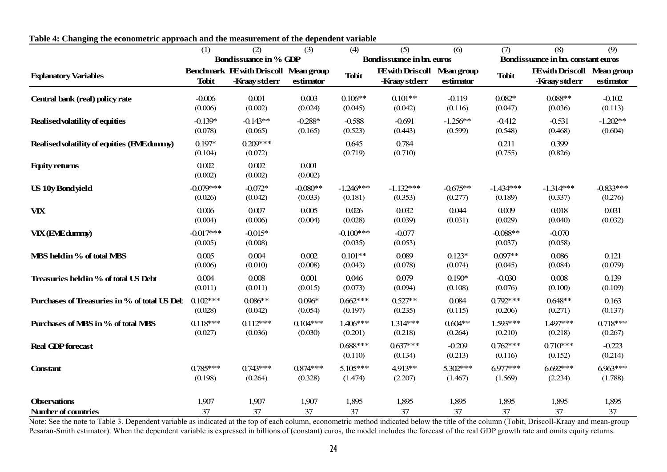|                                               | (1)                    | (2)                                                          | (3)              | (4)                    | (5)                                         | (6)                 | (7)                   | (8)                                          | (9)                 |
|-----------------------------------------------|------------------------|--------------------------------------------------------------|------------------|------------------------|---------------------------------------------|---------------------|-----------------------|----------------------------------------------|---------------------|
|                                               |                        | <b>Bondissuance in % GDP</b>                                 |                  |                        | Bondissuance in bn. euros                   |                     |                       | Bondissuance in bn. constant euros           |                     |
| <b>Explanatory Variables</b>                  | <b>Tobit</b>           | <b>Benchmark FEwith Driscoll Mean group</b><br>-Kraay stderr | estimator        | <b>Tobit</b>           | FEwith Driscoll Mean group<br>-Kraay stderr | estimator           | <b>Tobit</b>          | FE with Driscoll Mean group<br>-Kraay stderr | estimator           |
| Central bank (real) policy rate               | $-0.006$               | 0.001                                                        | 0.003            | $0.106**$              | $0.101**$                                   | $-0.119$            | $0.082*$              | $0.088**$                                    | $-0.102$            |
|                                               | (0.006)                | (0.002)                                                      | (0.024)          | (0.045)                | (0.042)                                     | (0.116)             | (0.047)               | (0.036)                                      | (0.113)             |
| <b>Realised volatility of equities</b>        | $-0.139*$              | $-0.143**$                                                   | $-0.288*$        | $-0.588$               | $-0.691$                                    | $-1.256**$          | $-0.412$              | $-0.531$                                     | $-1.202**$          |
|                                               | (0.078)                | (0.065)                                                      | (0.165)          | (0.523)                | (0.443)                                     | (0.599)             | (0.548)               | (0.468)                                      | (0.604)             |
| Realised volatility of equities (EMEdumny)    | $0.197*$<br>(0.104)    | $0.209***$<br>(0.072)                                        |                  | 0.645<br>(0.719)       | 0.784<br>(0.710)                            |                     | 0.211<br>(0.755)      | 0.399<br>(0.826)                             |                     |
| <b>Equity returns</b>                         | 0.002<br>(0.002)       | 0.002<br>(0.002)                                             | 0.001<br>(0.002) |                        |                                             |                     |                       |                                              |                     |
| US 10y Bond yield                             | $-0.079***$            | $-0.072*$                                                    | $-0.080**$       | $-1.246***$            | $-1.132***$                                 | $-0.675**$          | $-1.434***$           | $-1.314***$                                  | $-0.833***$         |
|                                               | (0.026)                | (0.042)                                                      | (0.033)          | (0.181)                | (0.353)                                     | (0.277)             | (0.189)               | (0.337)                                      | (0.276)             |
| <b>VIX</b>                                    | 0.006                  | 0.007                                                        | 0.005            | 0.026                  | 0.032                                       | 0.044               | 0.009                 | 0.018                                        | 0.031               |
|                                               | (0.004)                | (0.006)                                                      | (0.004)          | (0.028)                | (0.039)                                     | (0.031)             | (0.029)               | (0.040)                                      | (0.032)             |
| <b>VIX (EVE dunny)</b>                        | $-0.017***$<br>(0.005) | $-0.015*$<br>(0.008)                                         |                  | $-0.100***$<br>(0.035) | $-0.077$<br>(0.053)                         |                     | $-0.088**$<br>(0.037) | $-0.070$<br>(0.058)                          |                     |
| MBS held in % of total MBS                    | 0.005                  | 0.004                                                        | 0.002            | $0.101**$              | 0.089                                       | $0.123*$            | $0.097**$             | 0.086                                        | 0.121               |
|                                               | (0.006)                | (0.010)                                                      | (0.008)          | (0.043)                | (0.078)                                     | (0.074)             | (0.045)               | (0.084)                                      | (0.079)             |
| Treasuries heldin % of total US Debt          | 0.004                  | 0.008                                                        | 0.001            | 0.046                  | 0.079                                       | $0.190*$            | $-0.030$              | 0.008                                        | 0.139               |
|                                               | (0.011)                | (0.011)                                                      | (0.015)          | (0.073)                | (0.094)                                     | (0.108)             | (0.076)               | (0.100)                                      | (0.109)             |
| Purchases of Treasuries in % of total US Del: | $0.102***$             | $0.086**$                                                    | $0.096*$         | $0.662***$             | $0.527**$                                   | 0.084               | $0.792***$            | $0.648**$                                    | 0.163               |
|                                               | (0.028)                | (0.042)                                                      | (0.054)          | (0.197)                | (0.235)                                     | (0.115)             | (0.206)               | (0.271)                                      | (0.137)             |
| Purchases of MBS in % of total MBS            | $0.118***$             | $0.112***$                                                   | $0.104***$       | $1.406***$             | $1.314***$                                  | $0.604**$           | $1.593***$            | 1.497***                                     | $0.718***$          |
|                                               | (0.027)                | (0.036)                                                      | (0.030)          | (0.201)                | (0.218)                                     | (0.264)             | (0.210)               | (0.218)                                      | (0.267)             |
| <b>Real GDP</b> forecast                      |                        |                                                              |                  | $0.688***$<br>(0.110)  | $0.637***$<br>(0.134)                       | $-0.209$<br>(0.213) | $0.762***$<br>(0.116) | $0.710***$<br>(0.152)                        | $-0.223$<br>(0.214) |
| Constant                                      | $0.785***$             | $0.743***$                                                   | $0.874***$       | $5.105***$             | 4.913**                                     | $5.302***$          | $6.977***$            | $6.692***$                                   | $6.963***$          |
|                                               | (0.198)                | (0.264)                                                      | (0.328)          | (1.474)                | (2.207)                                     | (1.467)             | (1.569)               | (2.234)                                      | (1.788)             |
| <b>Observations</b>                           | 1,907                  | 1,907                                                        | 1,907            | 1,895                  | 1,895                                       | 1,895               | 1,895                 | 1,895                                        | 1,895               |
| Number of countries                           | 37                     | 37                                                           | 37               | 37                     | 37                                          | 37                  | 37                    | 37                                           | 37                  |

**Table 4: Changing the econometric approach and the measurement of the dependent variable**

Note: See the note to Table 3. Dependent variable as indicated at the top of each column, econometric method indicated below the title of the column (Tobit, Driscoll-Kraay and mean-group Pesaran-Smith estimator). When the dependent variable is expressed in billions of (constant) euros, the model includes the forecast of the real GDP growth rate and omits equity returns.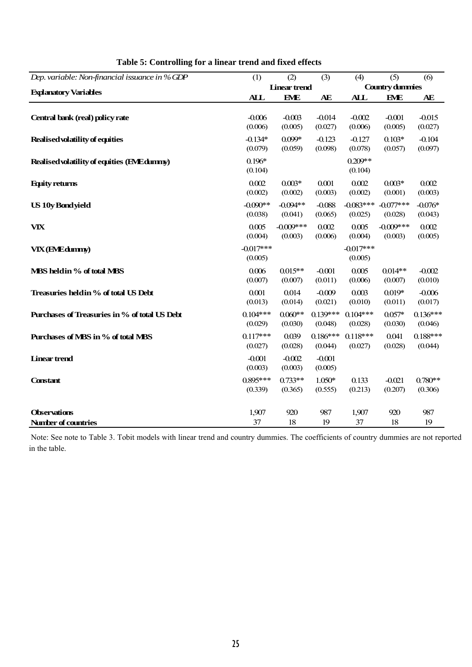| Dep. variable: Non-financial issuance in %GDP | (1)                    | (2)                 | (3)                 | (4)                    | (5)                    | (6)        |
|-----------------------------------------------|------------------------|---------------------|---------------------|------------------------|------------------------|------------|
| <b>Explanatory Variables</b>                  |                        | <b>Linear trend</b> |                     |                        | <b>Country dumnies</b> |            |
|                                               | <b>ALL</b>             | <b>EME</b>          | AE                  | <b>ALL</b>             | <b>EME</b>             | AE         |
| Central bank (real) policy rate               | $-0.006$               | $-0.003$            | $-0.014$            | $-0.002$               | $-0.001$               | $-0.015$   |
|                                               | (0.006)                | (0.005)             | (0.027)             | (0.006)                | (0.005)                | (0.027)    |
| Realised volatility of equities               | $-0.134*$              | $0.099*$            | $-0.123$            | $-0.127$               | $0.103*$               | $-0.104$   |
|                                               | (0.079)                | (0.059)             | (0.098)             | (0.078)                | (0.057)                | (0.097)    |
| Realised volatility of equities (EMEdunny)    | $0.196*$<br>(0.104)    |                     |                     | $0.209**$<br>(0.104)   |                        |            |
| <b>Equity returns</b>                         | 0.002                  | $0.003*$            | 0.001               | 0.002                  | $0.003*$               | 0.002      |
|                                               | (0.002)                | (0.002)             | (0.003)             | (0.002)                | (0.001)                | (0.003)    |
| <b>US 10y Bond yield</b>                      | $-0.090**$             | $-0.094**$          | $-0.088$            | $-0.083***$            | $-0.077***$            | $-0.076*$  |
|                                               | (0.038)                | (0.041)             | (0.065)             | (0.025)                | (0.028)                | (0.043)    |
| <b>VIX</b>                                    | 0.005                  | $-0.009***$         | 0.002               | 0.005                  | $-0.009***$            | 0.002      |
|                                               | (0.004)                | (0.003)             | (0.006)             | (0.004)                | (0.003)                | (0.005)    |
| <b>VIX (EVE dumny)</b>                        | $-0.017***$<br>(0.005) |                     |                     | $-0.017***$<br>(0.005) |                        |            |
| MBS heldin % of total MBS                     | 0.006                  | $0.015**$           | $-0.001$            | 0.005                  | $0.014**$              | $-0.002$   |
|                                               | (0.007)                | (0.007)             | (0.011)             | (0.006)                | (0.007)                | (0.010)    |
| Treasuries held in % of total US Debt         | 0.001                  | 0.014               | $-0.009$            | 0.003                  | $0.019*$               | $-0.006$   |
|                                               | (0.013)                | (0.014)             | (0.021)             | (0.010)                | (0.011)                | (0.017)    |
| Purchases of Treasuries in % of total US Debt | $0.104***$             | $0.060**$           | $0.139***$          | $0.104***$             | $0.057*$               | $0.136***$ |
|                                               | (0.029)                | (0.030)             | (0.048)             | (0.028)                | (0.030)                | (0.046)    |
| Purchases of MBS in % of total MBS            | $0.117***$             | 0.039               | $0.186***$          | $0.118***$             | 0.041                  | $0.188***$ |
|                                               | (0.027)                | (0.028)             | (0.044)             | (0.027)                | (0.028)                | (0.044)    |
| <b>Linear trend</b>                           | $-0.001$<br>(0.003)    | $-0.002$<br>(0.003) | $-0.001$<br>(0.005) |                        |                        |            |
| Constant                                      | $0.895***$             | $0.733**$           | $1.050*$            | 0.133                  | $-0.021$               | $0.780**$  |
|                                               | (0.339)                | (0.365)             | (0.555)             | (0.213)                | (0.207)                | (0.306)    |
| <b>Observations</b>                           | 1,907                  | 920                 | 987                 | 1,907                  | 920                    | 987        |
| Number of countries                           | 37                     | 18                  | 19                  | 37                     | 18                     | 19         |

## **Table 5: Controlling for a linear trend and fixed effects**

 Note: See note to Table 3. Tobit models with linear trend and country dummies. The coefficients of country dummies are not reported in the table.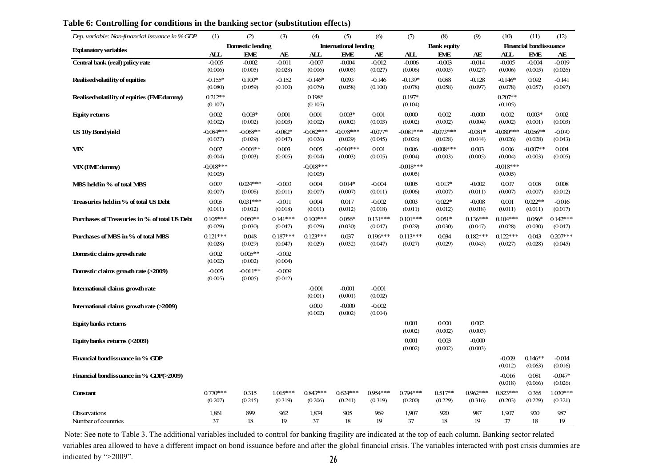| Dep. variable: Non-financial issuance in %GDP | (1)                    | (2)                   | (3)                   | (4)                    | (5)                          | (6)                   | (7)                    | (8)                    | (9)                   | (10)                   | (11)                          | (12)                  |
|-----------------------------------------------|------------------------|-----------------------|-----------------------|------------------------|------------------------------|-----------------------|------------------------|------------------------|-----------------------|------------------------|-------------------------------|-----------------------|
| <b>Explanatory variables</b>                  |                        | Domestic lending      |                       |                        | <b>International lending</b> |                       |                        | <b>Bank equity</b>     |                       |                        | <b>Financial bondissuance</b> |                       |
|                                               | $\mathbf{AL}$          | EME                   | AE                    | ALL                    | <b>EME</b>                   | AE                    | ALL                    | EME                    | AE                    | ALL                    | <b>EME</b>                    | AE                    |
| Central bank (real) policy rate               | $-0.005$<br>(0.006)    | $-0.002$<br>(0.005)   | $-0.011$<br>(0.028)   | $-0.007$<br>(0.006)    | $-0.004$<br>(0.005)          | $-0.012$<br>(0.027)   | $-0.006$<br>(0.006)    | $-0.003$<br>(0.005)    | $-0.014$<br>(0.027)   | $-0.005$<br>(0.006)    | $-0.004$<br>(0.005)           | $-0.019$<br>(0.026)   |
| Realised volatility of equities               | $-0.155*$<br>(0.080)   | $0.100*$<br>(0.059)   | $-0.152$<br>(0.100)   | $-0.146*$<br>(0.079)   | 0.093<br>(0.058)             | $-0.146$<br>(0.100)   | $-0.139*$<br>(0.078)   | 0.088<br>(0.058)       | $-0.128$<br>(0.097)   | $-0.146*$<br>(0.078)   | 0.092<br>(0.057)              | $-0.141$<br>(0.097)   |
| Realised volatility of equities (EMEdunny)    | $0.212**$<br>(0.107)   |                       |                       | $0.198*$<br>(0.105)    |                              |                       | $0.197*$<br>(0.104)    |                        |                       | $0.207**$<br>(0.105)   |                               |                       |
| <b>Equity returns</b>                         | 0.002<br>(0.002)       | $0.003*$<br>(0.002)   | 0.001<br>(0.003)      | 0.001<br>(0.002)       | $0.003*$<br>(0.002)          | 0.001<br>(0.003)      | 0.000<br>(0.002)       | 0.002<br>(0.002)       | $-0.000$<br>(0.004)   | 0.002<br>(0.002)       | $0.003*$<br>(0.001)           | 0.002<br>(0.003)      |
| <b>US 10y Bond yield</b>                      | $-0.084***$<br>(0.027) | $-0.068**$<br>(0.029) | $-0.082*$<br>(0.047)  | $-0.082***$<br>(0.026) | $-0.078***$<br>(0.029)       | $-0.077*$<br>(0.045)  | $-0.081***$<br>(0.026) | $-0.073***$<br>(0.028) | $-0.081*$<br>(0.044)  | $-0.080***$<br>(0.026) | $-0.056**$<br>(0.028)         | $-0.070$<br>(0.043)   |
| <b>VIX</b>                                    | 0.007<br>(0.004)       | $-0.006**$<br>(0.003) | 0.003<br>(0.005)      | 0.005<br>(0.004)       | $-0.010***$<br>(0.003)       | 0.001<br>(0.005)      | 0.006<br>(0.004)       | $-0.008***$<br>(0.003) | 0.003<br>(0.005)      | 0.006<br>(0.004)       | $-0.007**$<br>(0.003)         | 0.004<br>(0.005)      |
| <b>VIX (EMEdimmy)</b>                         | $-0.018***$<br>(0.005) |                       |                       | $-0.018***$<br>(0.005) |                              |                       | $-0.018***$<br>(0.005) |                        |                       | $-0.018***$<br>(0.005) |                               |                       |
| MBS held in % of total MBS                    | 0.007<br>(0.007)       | $0.024***$<br>(0.008) | $-0.003$<br>(0.011)   | 0.004<br>(0.007)       | $0.014*$<br>(0.007)          | $-0.004$<br>(0.011)   | 0.005<br>(0.006)       | $0.013*$<br>(0.007)    | $-0.002$<br>(0.011)   | 0.007<br>(0.007)       | 0.008<br>(0.007)              | 0.008<br>(0.012)      |
| Treasuries heldin % of total US Debt          | 0.005<br>(0.011)       | $0.031***$<br>(0.012) | $-0.011$<br>(0.018)   | 0.004<br>(0.011)       | 0.017<br>(0.012)             | $-0.002$<br>(0.018)   | 0.003<br>(0.011)       | $0.022*$<br>(0.012)    | $-0.008$<br>(0.018)   | 0.001<br>(0.011)       | $0.022**$<br>(0.011)          | $-0.016$<br>(0.017)   |
| Purchases of Treasuries in % of total US Debt | $0.105***$<br>(0.029)  | $0.060**$<br>(0.030)  | $0.141***$<br>(0.047) | $0.100***$<br>(0.029)  | $0.056*$<br>(0.030)          | $0.131***$<br>(0.047) | $0.101***$<br>(0.029)  | $0.051*$<br>(0.030)    | $0.136***$<br>(0.047) | $0.104***$<br>(0.028)  | $0.056*$<br>(0.030)           | $0.142***$<br>(0.047) |
| Purchases of MBS in % of total MBS            | $0.121***$<br>(0.028)  | 0.048<br>(0.029)      | $0.187***$<br>(0.047) | $0.123***$<br>(0.029)  | 0.037<br>(0.032)             | $0.196***$<br>(0.047) | $0.113***$<br>(0.027)  | 0.034<br>(0.029)       | $0.182***$<br>(0.045) | $0.122***$<br>(0.027)  | 0.043<br>(0.028)              | $0.207***$<br>(0.045) |
| Domestic claims growth rate                   | 0.002<br>(0.002)       | $0.005**$<br>(0.002)  | $-0.002$<br>(0.004)   |                        |                              |                       |                        |                        |                       |                        |                               |                       |
| Domestic claims growth rate (>2009)           | $-0.005$<br>(0.005)    | $-0.011**$<br>(0.005) | $-0.009$<br>(0.012)   |                        |                              |                       |                        |                        |                       |                        |                               |                       |
| International claims growth rate              |                        |                       |                       | $-0.001$<br>(0.001)    | $-0.001$<br>(0.001)          | $-0.001$<br>(0.002)   |                        |                        |                       |                        |                               |                       |
| International claims growth rate (>2009)      |                        |                       |                       | 0.000<br>(0.002)       | $-0.000$<br>(0.002)          | $-0.002$<br>(0.004)   |                        |                        |                       |                        |                               |                       |
| <b>Equity banks returns</b>                   |                        |                       |                       |                        |                              |                       | 0.001<br>(0.002)       | 0.000<br>(0.002)       | 0.002<br>(0.003)      |                        |                               |                       |
| <b>Equity banks returns (&gt;2009)</b>        |                        |                       |                       |                        |                              |                       | 0.001<br>(0.002)       | 0.003<br>(0.002)       | $-0.000$<br>(0.003)   |                        |                               |                       |
| Financial bondissuance in % GDP               |                        |                       |                       |                        |                              |                       |                        |                        |                       | $-0.009$<br>(0.012)    | $0.146**$<br>(0.063)          | $-0.014$<br>(0.016)   |
| Financial bondissuance in % GDP(>2009)        |                        |                       |                       |                        |                              |                       |                        |                        |                       | $-0.016$<br>(0.018)    | 0.081<br>(0.066)              | $-0.047*$<br>(0.026)  |
| Constant                                      | $0.770***$<br>(0.207)  | 0.315<br>(0.245)      | $1.015***$<br>(0.319) | $0.843***$<br>(0.206)  | $0.624***$<br>(0.241)        | $0.954***$<br>(0.319) | $0.794***$<br>(0.200)  | $0.517**$<br>(0.229)   | $0.962***$<br>(0.316) | $0.823***$<br>(0.203)  | 0.365<br>(0.229)              | $1.030***$<br>(0.321) |
| Observations<br>Number of countries           | 1,861<br>37            | 899<br>18             | 962<br>19             | 1,874<br>37            | 905<br>18                    | 969<br>19             | 1,907<br>37            | 920<br>18              | 987<br>19             | 1,907<br>37            | 920<br>18                     | 987<br>19             |

**Table 6: Controlling for conditions in the banking sector (substitution effects)**

 Note: See note to Table 3. The additional variables included to control for banking fragility are indicated at the top of each column. Banking sector related variables area allowed to have a different impact on bond issuance before and after the global financial crisis. The variables interacted with post crisis dummies are indicated by ">2009". 26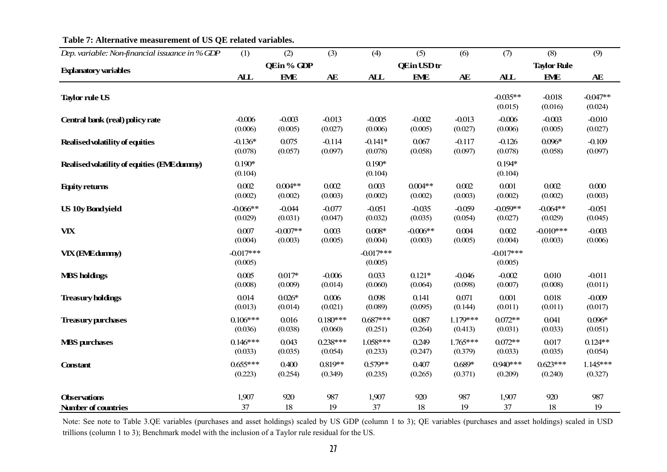| Dep. variable: Non-financial issuance in %GDP | (1)                    | (2)        | (3)        | (4)                    | (5)               | (6)                    | (7)                    | (8)                 | (9)                   |
|-----------------------------------------------|------------------------|------------|------------|------------------------|-------------------|------------------------|------------------------|---------------------|-----------------------|
| <b>Explanatory variables</b>                  |                        | QEin%GDP   |            |                        | <b>QEin USDtr</b> |                        |                        | <b>Taylor Rule</b>  |                       |
|                                               | <b>ALL</b>             | <b>EME</b> | AE         | <b>ALL</b>             | <b>EME</b>        | $\mathbf{A}\mathbf{E}$ | <b>ALL</b>             | <b>EME</b>          | AE                    |
| <b>Taylor rule US</b>                         |                        |            |            |                        |                   |                        | $-0.035**$<br>(0.015)  | $-0.018$<br>(0.016) | $-0.047**$<br>(0.024) |
| Central bank (real) policy rate               | $-0.006$               | $-0.003$   | $-0.013$   | $-0.005$               | $-0.002$          | $-0.013$               | $-0.006$               | $-0.003$            | $-0.010$              |
|                                               | (0.006)                | (0.005)    | (0.027)    | (0.006)                | (0.005)           | (0.027)                | (0.006)                | (0.005)             | (0.027)               |
| Realised volatility of equities               | $-0.136*$              | 0.075      | $-0.114$   | $-0.141*$              | 0.067             | $-0.117$               | $-0.126$               | $0.096*$            | $-0.109$              |
|                                               | (0.078)                | (0.057)    | (0.097)    | (0.078)                | (0.058)           | (0.097)                | (0.078)                | (0.058)             | (0.097)               |
| Realised volatility of equities (EMEdunny)    | $0.190*$<br>(0.104)    |            |            | $0.190*$<br>(0.104)    |                   |                        | $0.194*$<br>(0.104)    |                     |                       |
| <b>Equity returns</b>                         | 0.002                  | $0.004**$  | 0.002      | 0.003                  | $0.004**$         | 0.002                  | 0.001                  | 0.002               | 0.000                 |
|                                               | (0.002)                | (0.002)    | (0.003)    | (0.002)                | (0.002)           | (0.003)                | (0.002)                | (0.002)             | (0.003)               |
| <b>US 10y Bond yield</b>                      | $-0.066**$             | $-0.044$   | $-0.077$   | $-0.051$               | $-0.035$          | $-0.059$               | $-0.059**$             | $-0.064**$          | $-0.051$              |
|                                               | (0.029)                | (0.031)    | (0.047)    | (0.032)                | (0.035)           | (0.054)                | (0.027)                | (0.029)             | (0.045)               |
| <b>VIX</b>                                    | 0.007                  | $-0.007**$ | 0.003      | $0.008*$               | $-0.006**$        | 0.004                  | 0.002                  | $-0.010***$         | $-0.003$              |
|                                               | (0.004)                | (0.003)    | (0.005)    | (0.004)                | (0.003)           | (0.005)                | (0.004)                | (0.003)             | (0.006)               |
| <b>VIX (EVE dumny)</b>                        | $-0.017***$<br>(0.005) |            |            | $-0.017***$<br>(0.005) |                   |                        | $-0.017***$<br>(0.005) |                     |                       |
| <b>MBS</b> holdings                           | 0.005                  | $0.017*$   | $-0.006$   | 0.033                  | $0.121*$          | $-0.046$               | $-0.002$               | 0.010               | $-0.011$              |
|                                               | (0.008)                | (0.009)    | (0.014)    | (0.060)                | (0.064)           | (0.098)                | (0.007)                | (0.008)             | (0.011)               |
| <b>Treasury holdings</b>                      | 0.014                  | $0.026*$   | 0.006      | 0.098                  | 0.141             | 0.071                  | 0.001                  | 0.018               | $-0.009$              |
|                                               | (0.013)                | (0.014)    | (0.021)    | (0.089)                | (0.095)           | (0.144)                | (0.011)                | (0.011)             | (0.017)               |
| <b>Treasury purchases</b>                     | $0.106***$             | 0.016      | $0.180***$ | $0.687***$             | 0.087             | $1.179***$             | $0.072**$              | 0.041               | $0.096*$              |
|                                               | (0.036)                | (0.038)    | (0.060)    | (0.251)                | (0.264)           | (0.413)                | (0.031)                | (0.033)             | (0.051)               |
| <b>MBS</b> purchases                          | $0.146***$             | 0.043      | $0.238***$ | $1.058***$             | 0.249             | $1.765***$             | $0.072**$              | 0.017               | $0.124**$             |
|                                               | (0.033)                | (0.035)    | (0.054)    | (0.233)                | (0.247)           | (0.379)                | (0.033)                | (0.035)             | (0.054)               |
| <b>Constant</b>                               | $0.655***$             | 0.400      | $0.819**$  | $0.579**$              | 0.407             | $0.689*$               | $0.940***$             | $0.623***$          | $1.145***$            |
|                                               | (0.223)                | (0.254)    | (0.349)    | (0.235)                | (0.265)           | (0.371)                | (0.209)                | (0.240)             | (0.327)               |
| <b>Observations</b>                           | 1,907                  | 920        | 987        | 1,907                  | 920               | 987                    | 1,907                  | 920                 | 987                   |
| Number of countries                           | 37                     | 18         | 19         | 37                     | $18\,$            | 19                     | 37                     | 18                  | 19                    |

## **Table 7: Alternative measurement of US QE related variables.**

Note: See note to Table 3.QE variables (purchases and asset holdings) scaled by US GDP (column 1 to 3); QE variables (purchases and asset holdings) scaled in USD trillions (column 1 to 3); Benchmark model with the inclusion of a Taylor rule residual for the US.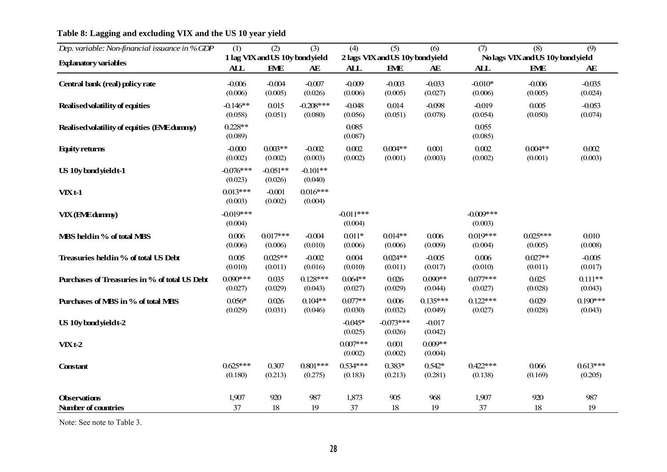| Table 8: Lagging and excluding VIX and the US 10 year yield |  |  |  |  |
|-------------------------------------------------------------|--|--|--|--|
|                                                             |  |  |  |  |

| Dep. variable: Non-financial issuance in %GDP | (1)                     | (2)                                           | (3)                    | (4)                    | (5)                                     | (6)                   | (7)                    | (8)                                             | (9)                   |
|-----------------------------------------------|-------------------------|-----------------------------------------------|------------------------|------------------------|-----------------------------------------|-----------------------|------------------------|-------------------------------------------------|-----------------------|
| <b>Explanatory variables</b>                  | <b>ALL</b>              | 1 lag VIX and US 10y bond yield<br><b>EME</b> | AE                     | <b>ALL</b>             | 2 lags VIX and US 10y bond yield<br>EME | AE                    | <b>ALL</b>             | No lags VIX and US 10y bond yield<br><b>EME</b> | AE                    |
| Central bank (real) policy rate               | $-0.006$<br>(0.006)     | $-0.004$<br>(0.005)                           | $-0.007$<br>(0.026)    | $-0.009$<br>(0.006)    | $-0.003$<br>(0.005)                     | $-0.033$<br>(0.027)   | $-0.010*$<br>(0.006)   | $-0.006$<br>(0.005)                             | $-0.035$<br>(0.024)   |
| Realised volatility of equities               | $-0.146**$<br>(0.058)   | 0.015<br>(0.051)                              | $-0.208***$<br>(0.080) | $-0.048$<br>(0.056)    | 0.014<br>(0.051)                        | $-0.098$<br>(0.078)   | $-0.019$<br>(0.054)    | 0.005<br>(0.050)                                | $-0.053$<br>(0.074)   |
| Realised volatility of equities (EMEdunny)    | $0.228**$<br>(0.089)    |                                               |                        | 0.085<br>(0.087)       |                                         |                       | 0.055<br>(0.085)       |                                                 |                       |
| <b>Equity returns</b>                         | $-0.000$<br>(0.002)     | $0.003**$<br>(0.002)                          | $-0.002$<br>(0.003)    | 0.002<br>(0.002)       | $0.004**$<br>(0.001)                    | 0.001<br>(0.003)      | 0.002<br>(0.002)       | $0.004**$<br>(0.001)                            | 0.002<br>(0.003)      |
| US 10y bond yieldt-1                          | $-0.076$ ***<br>(0.023) | $-0.051**$<br>(0.026)                         | $-0.101**$<br>(0.040)  |                        |                                         |                       |                        |                                                 |                       |
| VIXt-1                                        | $0.013***$<br>(0.003)   | $-0.001$<br>(0.002)                           | $0.016***$<br>(0.004)  |                        |                                         |                       |                        |                                                 |                       |
| <b>VIX (EMEdunny)</b>                         | $-0.019***$<br>(0.004)  |                                               |                        | $-0.011***$<br>(0.004) |                                         |                       | $-0.009***$<br>(0.003) |                                                 |                       |
| MBS heldin % of total MBS                     | 0.006<br>(0.006)        | $0.017***$<br>(0.006)                         | $-0.004$<br>(0.010)    | $0.011*$<br>(0.006)    | $0.014**$<br>(0.006)                    | 0.006<br>(0.009)      | $0.019***$<br>(0.004)  | $0.025***$<br>(0.005)                           | 0.010<br>(0.008)      |
| Treasuries held in % of total US Debt         | 0.005<br>(0.010)        | $0.025**$<br>(0.011)                          | $-0.002$<br>(0.016)    | 0.004<br>(0.010)       | $0.024**$<br>(0.011)                    | $-0.005$<br>(0.017)   | 0.006<br>(0.010)       | $0.027**$<br>(0.011)                            | $-0.005$<br>(0.017)   |
| Purchases of Treasuries in % of total US Debt | $0.090***$<br>(0.027)   | 0.035<br>(0.029)                              | $0.128***$<br>(0.043)  | $0.064**$<br>(0.027)   | 0.026<br>(0.029)                        | $0.090**$<br>(0.044)  | $0.077***$<br>(0.027)  | 0.025<br>(0.028)                                | $0.111**$<br>(0.043)  |
| Purchases of MBS in % of total MBS            | $0.056*$<br>(0.029)     | 0.026<br>(0.031)                              | $0.104**$<br>(0.046)   | $0.077**$<br>(0.030)   | 0.006<br>(0.032)                        | $0.135***$<br>(0.049) | $0.122***$<br>(0.027)  | 0.029<br>(0.028)                                | $0.190***$<br>(0.043) |
| US 10y bond yieldt-2                          |                         |                                               |                        | $-0.045*$<br>(0.025)   | $-0.073***$<br>(0.026)                  | $-0.017$<br>(0.042)   |                        |                                                 |                       |
| $VIXt-2$                                      |                         |                                               |                        | $0.007***$<br>(0.002)  | 0.001<br>(0.002)                        | $0.009**$<br>(0.004)  |                        |                                                 |                       |
| <b>Constant</b>                               | $0.625***$<br>(0.180)   | 0.307<br>(0.213)                              | $0.801***$<br>(0.275)  | $0.534***$<br>(0.183)  | $0.383*$<br>(0.213)                     | $0.542*$<br>(0.281)   | $0.422***$<br>(0.138)  | 0.066<br>(0.169)                                | $0.613***$<br>(0.205) |
| <b>Observations</b>                           | 1,907                   | 920                                           | 987                    | 1,873                  | 905                                     | 968                   | 1,907                  | 920                                             | 987                   |
| Number of countries                           | 37                      | 18                                            | 19                     | 37                     | 18                                      | 19                    | 37                     | 18                                              | 19                    |

Note: See note to Table 3.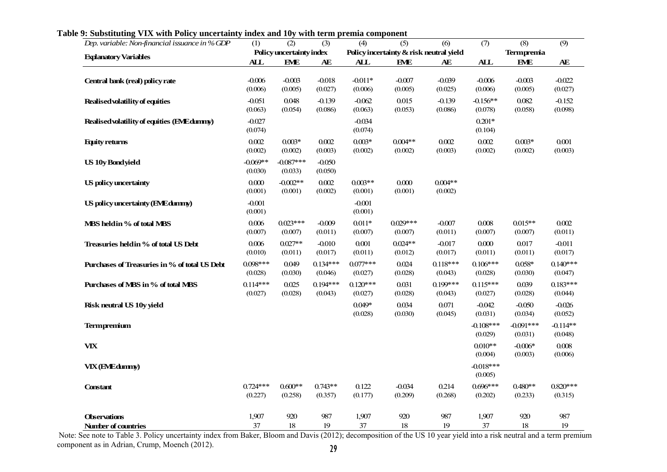| Dep. variable: Non-financial issuance in $\%$ GDP | (1)                   | (2)                      | (3)                   | (4)                   | (5)                                     | (6)                   | (7)                    | (8)                    | (9)                   |
|---------------------------------------------------|-----------------------|--------------------------|-----------------------|-----------------------|-----------------------------------------|-----------------------|------------------------|------------------------|-----------------------|
| <b>Explanatory Variables</b>                      |                       | Policy uncertainty index |                       |                       | Policy incertainty & risk neutral yield |                       |                        | Termpremia             |                       |
|                                                   | <b>ALL</b>            | <b>EME</b>               | AE                    | <b>ALL</b>            | <b>EME</b>                              | AE                    | ALL                    | <b>EME</b>             | AE                    |
| Central bank (real) policy rate                   | $-0.006$<br>(0.006)   | $-0.003$<br>(0.005)      | $-0.018$<br>(0.027)   | $-0.011*$<br>(0.006)  | $-0.007$<br>(0.005)                     | $-0.039$<br>(0.025)   | $-0.006$<br>(0.006)    | $-0.003$<br>(0.005)    | $-0.022$<br>(0.027)   |
| Realised volatility of equities                   | $-0.051$<br>(0.063)   | 0.048<br>(0.054)         | $-0.139$<br>(0.086)   | $-0.062$<br>(0.063)   | 0.015<br>(0.053)                        | $-0.139$<br>(0.086)   | $-0.156**$<br>(0.078)  | 0.082<br>(0.058)       | $-0.152$<br>(0.098)   |
| Realised volatility of equities (EMEdumny)        | $-0.027$<br>(0.074)   |                          |                       | $-0.034$<br>(0.074)   |                                         |                       | $0.201*$<br>(0.104)    |                        |                       |
| <b>Equity returns</b>                             | 0.002<br>(0.002)      | $0.003*$<br>(0.002)      | 0.002<br>(0.003)      | $0.003*$<br>(0.002)   | $0.004**$<br>(0.002)                    | 0.002<br>(0.003)      | 0.002<br>(0.002)       | $0.003*$<br>(0.002)    | 0.001<br>(0.003)      |
| US 10y Bondyield                                  | $-0.069**$<br>(0.030) | $-0.087***$<br>(0.033)   | $-0.050$<br>(0.050)   |                       |                                         |                       |                        |                        |                       |
| US policy uncertainty                             | 0.000<br>(0.001)      | $-0.002**$<br>(0.001)    | 0.002<br>(0.002)      | $0.003**$<br>(0.001)  | 0.000<br>(0.001)                        | $0.004**$<br>(0.002)  |                        |                        |                       |
| US policy uncertainty (EMEdunny)                  | $-0.001$<br>(0.001)   |                          |                       | $-0.001$<br>(0.001)   |                                         |                       |                        |                        |                       |
| MBS held in % of total MBS                        | 0.006<br>(0.007)      | $0.023***$<br>(0.007)    | $-0.009$<br>(0.011)   | $0.011*$<br>(0.007)   | $0.029***$<br>(0.007)                   | $-0.007$<br>(0.011)   | 0.008<br>(0.007)       | $0.015**$<br>(0.007)   | 0.002<br>(0.011)      |
| Treasuries heldin % of total US Debt              | 0.006<br>(0.010)      | $0.027**$<br>(0.011)     | $-0.010$<br>(0.017)   | 0.001<br>(0.011)      | $0.024**$<br>(0.012)                    | $-0.017$<br>(0.017)   | 0.000<br>(0.011)       | 0.017<br>(0.011)       | $-0.011$<br>(0.017)   |
| Purchases of Treasuries in % of total US Debt     | $0.098***$<br>(0.028) | 0.049<br>(0.030)         | $0.134***$<br>(0.046) | $0.077***$<br>(0.027) | 0.024<br>(0.028)                        | $0.118***$<br>(0.043) | $0.106***$<br>(0.028)  | $0.058*$<br>(0.030)    | $0.140***$<br>(0.047) |
| Purchases of MBS in % of total MBS                | $0.114***$<br>(0.027) | 0.025<br>(0.028)         | $0.194***$<br>(0.043) | $0.120***$<br>(0.027) | 0.031<br>(0.028)                        | $0.199***$<br>(0.043) | $0.115***$<br>(0.027)  | 0.039<br>(0.028)       | $0.183***$<br>(0.044) |
| <b>Risk neutral US 10y yield</b>                  |                       |                          |                       | $0.049*$<br>(0.028)   | 0.034<br>(0.030)                        | 0.071<br>(0.045)      | $-0.042$<br>(0.031)    | $-0.050$<br>(0.034)    | $-0.026$<br>(0.052)   |
| Termpremium                                       |                       |                          |                       |                       |                                         |                       | $-0.108***$<br>(0.029) | $-0.091***$<br>(0.031) | $-0.114**$<br>(0.048) |
| <b>VIX</b>                                        |                       |                          |                       |                       |                                         |                       | $0.010**$<br>(0.004)   | $-0.006*$<br>(0.003)   | 0.008<br>(0.006)      |
| <b>VIX (EMEdimny)</b>                             |                       |                          |                       |                       |                                         |                       | $-0.018***$<br>(0.005) |                        |                       |
| <b>Constant</b>                                   | $0.724***$<br>(0.227) | $0.600**$<br>(0.258)     | $0.743**$<br>(0.357)  | 0.122<br>(0.177)      | $-0.034$<br>(0.209)                     | 0.214<br>(0.268)      | $0.696***$<br>(0.202)  | $0.480**$<br>(0.233)   | $0.820***$<br>(0.315) |
| <b>Observations</b>                               | 1,907                 | 920                      | 987                   | 1,907                 | 920                                     | 987                   | 1,907                  | 920                    | 987                   |
| Number of countries                               | 37                    | 18                       | 19                    | 37                    | 18                                      | 19                    | 37                     | 18                     | 19                    |

**Table 9: Substituting VIX with Policy uncertainty index and 10y with term premia component** 

Note: See note to Table 3. Policy uncertainty index from Baker, Bloom and Davis (2012); decomposition of the US 10 year yield into a risk neutral and a term premium component as in Adrian, Crump, Moench (2012).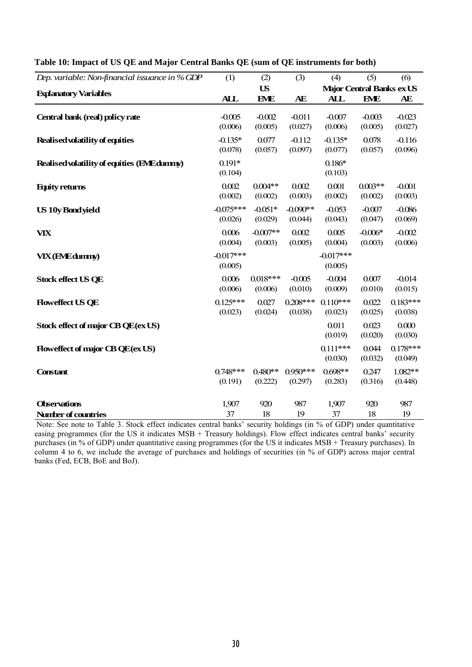| $\boldsymbol{\mathrm{US}}$<br><b>Major Central Banks ex US</b><br><b>Explanatory Variables</b><br><b>ALL</b><br>AE<br><b>EME</b><br><b>ALL</b><br><b>EME</b><br>AE<br>$-0.002$<br>$-0.005$<br>$-0.011$<br>$-0.007$<br>$-0.003$<br>$-0.023$<br>Central bank (real) policy rate<br>(0.006)<br>(0.005)<br>(0.006)<br>(0.027)<br>(0.005)<br>(0.027)<br>$-0.135*$<br>0.077<br>$-0.112$<br>$-0.135*$<br>0.078<br>$-0.116$<br>Realised volatility of equities<br>(0.078)<br>(0.057)<br>(0.097)<br>(0.077)<br>(0.057)<br>(0.096)<br>$0.191*$<br>$0.186*$<br>Realised volatility of equities (EMEdunny)<br>(0.104)<br>(0.103)<br>0.002<br>$0.004**$<br>0.002<br>0.001<br>$-0.001$<br>$0.003**$<br><b>Equity returns</b><br>(0.002)<br>(0.002)<br>(0.003)<br>(0.002)<br>(0.002)<br>(0.003)<br>$-0.075***$<br>$-0.051*$<br>$-0.090**$<br>$-0.053$<br>$-0.007$<br>$-0.086$<br><b>US 10y Bond yield</b><br>(0.026)<br>(0.029)<br>(0.044)<br>(0.043)<br>(0.069)<br>(0.047)<br>0.006<br>$-0.007**$<br>0.002<br>0.005<br>$-0.006*$<br>$-0.002$<br><b>VIX</b><br>(0.004)<br>(0.004)<br>(0.003)<br>(0.005)<br>(0.003)<br>(0.006)<br>$-0.017***$<br>$-0.017***$<br><b>VIX (EMEdimny)</b><br>(0.005)<br>(0.005)<br>0.006<br>$0.018***$<br>$-0.004$<br>0.007<br>$-0.014$<br>$-0.005$<br>Stock effect US QE<br>(0.006)<br>(0.010)<br>(0.010)<br>(0.015)<br>(0.006)<br>(0.009) |                                               |            |       |            |            |       |            |  |
|---------------------------------------------------------------------------------------------------------------------------------------------------------------------------------------------------------------------------------------------------------------------------------------------------------------------------------------------------------------------------------------------------------------------------------------------------------------------------------------------------------------------------------------------------------------------------------------------------------------------------------------------------------------------------------------------------------------------------------------------------------------------------------------------------------------------------------------------------------------------------------------------------------------------------------------------------------------------------------------------------------------------------------------------------------------------------------------------------------------------------------------------------------------------------------------------------------------------------------------------------------------------------------------------------------------------------------------------------------|-----------------------------------------------|------------|-------|------------|------------|-------|------------|--|
|                                                                                                                                                                                                                                                                                                                                                                                                                                                                                                                                                                                                                                                                                                                                                                                                                                                                                                                                                                                                                                                                                                                                                                                                                                                                                                                                                         | Dep. variable: Non-financial issuance in %GDP | (1)        | (2)   | (3)        | (4)        | (5)   | (6)        |  |
|                                                                                                                                                                                                                                                                                                                                                                                                                                                                                                                                                                                                                                                                                                                                                                                                                                                                                                                                                                                                                                                                                                                                                                                                                                                                                                                                                         |                                               |            |       |            |            |       |            |  |
|                                                                                                                                                                                                                                                                                                                                                                                                                                                                                                                                                                                                                                                                                                                                                                                                                                                                                                                                                                                                                                                                                                                                                                                                                                                                                                                                                         |                                               |            |       |            |            |       |            |  |
|                                                                                                                                                                                                                                                                                                                                                                                                                                                                                                                                                                                                                                                                                                                                                                                                                                                                                                                                                                                                                                                                                                                                                                                                                                                                                                                                                         |                                               |            |       |            |            |       |            |  |
|                                                                                                                                                                                                                                                                                                                                                                                                                                                                                                                                                                                                                                                                                                                                                                                                                                                                                                                                                                                                                                                                                                                                                                                                                                                                                                                                                         |                                               |            |       |            |            |       |            |  |
|                                                                                                                                                                                                                                                                                                                                                                                                                                                                                                                                                                                                                                                                                                                                                                                                                                                                                                                                                                                                                                                                                                                                                                                                                                                                                                                                                         |                                               |            |       |            |            |       |            |  |
|                                                                                                                                                                                                                                                                                                                                                                                                                                                                                                                                                                                                                                                                                                                                                                                                                                                                                                                                                                                                                                                                                                                                                                                                                                                                                                                                                         |                                               |            |       |            |            |       |            |  |
|                                                                                                                                                                                                                                                                                                                                                                                                                                                                                                                                                                                                                                                                                                                                                                                                                                                                                                                                                                                                                                                                                                                                                                                                                                                                                                                                                         |                                               |            |       |            |            |       |            |  |
|                                                                                                                                                                                                                                                                                                                                                                                                                                                                                                                                                                                                                                                                                                                                                                                                                                                                                                                                                                                                                                                                                                                                                                                                                                                                                                                                                         |                                               |            |       |            |            |       |            |  |
|                                                                                                                                                                                                                                                                                                                                                                                                                                                                                                                                                                                                                                                                                                                                                                                                                                                                                                                                                                                                                                                                                                                                                                                                                                                                                                                                                         |                                               |            |       |            |            |       |            |  |
|                                                                                                                                                                                                                                                                                                                                                                                                                                                                                                                                                                                                                                                                                                                                                                                                                                                                                                                                                                                                                                                                                                                                                                                                                                                                                                                                                         |                                               |            |       |            |            |       |            |  |
|                                                                                                                                                                                                                                                                                                                                                                                                                                                                                                                                                                                                                                                                                                                                                                                                                                                                                                                                                                                                                                                                                                                                                                                                                                                                                                                                                         |                                               |            |       |            |            |       |            |  |
|                                                                                                                                                                                                                                                                                                                                                                                                                                                                                                                                                                                                                                                                                                                                                                                                                                                                                                                                                                                                                                                                                                                                                                                                                                                                                                                                                         |                                               |            |       |            |            |       |            |  |
|                                                                                                                                                                                                                                                                                                                                                                                                                                                                                                                                                                                                                                                                                                                                                                                                                                                                                                                                                                                                                                                                                                                                                                                                                                                                                                                                                         |                                               |            |       |            |            |       |            |  |
|                                                                                                                                                                                                                                                                                                                                                                                                                                                                                                                                                                                                                                                                                                                                                                                                                                                                                                                                                                                                                                                                                                                                                                                                                                                                                                                                                         |                                               |            |       |            |            |       |            |  |
|                                                                                                                                                                                                                                                                                                                                                                                                                                                                                                                                                                                                                                                                                                                                                                                                                                                                                                                                                                                                                                                                                                                                                                                                                                                                                                                                                         |                                               |            |       |            |            |       |            |  |
|                                                                                                                                                                                                                                                                                                                                                                                                                                                                                                                                                                                                                                                                                                                                                                                                                                                                                                                                                                                                                                                                                                                                                                                                                                                                                                                                                         |                                               |            |       |            |            |       |            |  |
|                                                                                                                                                                                                                                                                                                                                                                                                                                                                                                                                                                                                                                                                                                                                                                                                                                                                                                                                                                                                                                                                                                                                                                                                                                                                                                                                                         |                                               |            |       |            |            |       |            |  |
|                                                                                                                                                                                                                                                                                                                                                                                                                                                                                                                                                                                                                                                                                                                                                                                                                                                                                                                                                                                                                                                                                                                                                                                                                                                                                                                                                         |                                               |            |       |            |            |       |            |  |
|                                                                                                                                                                                                                                                                                                                                                                                                                                                                                                                                                                                                                                                                                                                                                                                                                                                                                                                                                                                                                                                                                                                                                                                                                                                                                                                                                         |                                               |            |       |            |            |       |            |  |
|                                                                                                                                                                                                                                                                                                                                                                                                                                                                                                                                                                                                                                                                                                                                                                                                                                                                                                                                                                                                                                                                                                                                                                                                                                                                                                                                                         |                                               |            |       |            |            |       |            |  |
|                                                                                                                                                                                                                                                                                                                                                                                                                                                                                                                                                                                                                                                                                                                                                                                                                                                                                                                                                                                                                                                                                                                                                                                                                                                                                                                                                         | <b>Floweffect US QE</b>                       | $0.125***$ | 0.027 | $0.208***$ | $0.110***$ | 0.022 | $0.183***$ |  |
| (0.024)<br>(0.023)<br>(0.038)<br>(0.025)<br>(0.038)<br>(0.023)                                                                                                                                                                                                                                                                                                                                                                                                                                                                                                                                                                                                                                                                                                                                                                                                                                                                                                                                                                                                                                                                                                                                                                                                                                                                                          |                                               |            |       |            |            |       |            |  |
| 0.011<br>0.023<br>0.000<br>Stock effect of major CB QE(ex US)                                                                                                                                                                                                                                                                                                                                                                                                                                                                                                                                                                                                                                                                                                                                                                                                                                                                                                                                                                                                                                                                                                                                                                                                                                                                                           |                                               |            |       |            |            |       |            |  |
| (0.019)<br>(0.020)<br>(0.030)                                                                                                                                                                                                                                                                                                                                                                                                                                                                                                                                                                                                                                                                                                                                                                                                                                                                                                                                                                                                                                                                                                                                                                                                                                                                                                                           |                                               |            |       |            |            |       |            |  |
| $0.178***$<br>$0.111***$<br>0.044<br>Floweffect of major CB QE(ex US)                                                                                                                                                                                                                                                                                                                                                                                                                                                                                                                                                                                                                                                                                                                                                                                                                                                                                                                                                                                                                                                                                                                                                                                                                                                                                   |                                               |            |       |            |            |       |            |  |
| (0.032)<br>(0.049)<br>(0.030)                                                                                                                                                                                                                                                                                                                                                                                                                                                                                                                                                                                                                                                                                                                                                                                                                                                                                                                                                                                                                                                                                                                                                                                                                                                                                                                           |                                               |            |       |            |            |       |            |  |
| 0.698**<br>0.247<br>$1.082**$<br>$0.748***$<br>$0.480**$<br>$0.950***$<br><b>Constant</b>                                                                                                                                                                                                                                                                                                                                                                                                                                                                                                                                                                                                                                                                                                                                                                                                                                                                                                                                                                                                                                                                                                                                                                                                                                                               |                                               |            |       |            |            |       |            |  |
| (0.191)<br>(0.222)<br>(0.297)<br>(0.283)<br>(0.316)<br>(0.448)                                                                                                                                                                                                                                                                                                                                                                                                                                                                                                                                                                                                                                                                                                                                                                                                                                                                                                                                                                                                                                                                                                                                                                                                                                                                                          |                                               |            |       |            |            |       |            |  |
|                                                                                                                                                                                                                                                                                                                                                                                                                                                                                                                                                                                                                                                                                                                                                                                                                                                                                                                                                                                                                                                                                                                                                                                                                                                                                                                                                         |                                               |            |       |            |            |       |            |  |
| 1,907<br>920<br>987<br>1,907<br>920<br>987<br><b>Observations</b>                                                                                                                                                                                                                                                                                                                                                                                                                                                                                                                                                                                                                                                                                                                                                                                                                                                                                                                                                                                                                                                                                                                                                                                                                                                                                       |                                               |            |       |            |            |       |            |  |
| 37<br>37<br>18<br>19<br>18<br>19<br>Number of countries                                                                                                                                                                                                                                                                                                                                                                                                                                                                                                                                                                                                                                                                                                                                                                                                                                                                                                                                                                                                                                                                                                                                                                                                                                                                                                 |                                               |            |       |            |            |       |            |  |

Note: See note to Table 3. Stock effect indicates central banks' security holdings (in % of GDP) under quantitative easing programmes (for the US it indicates MSB + Treasury holdings). Flow effect indicates central banks' security purchases (in % of GDP) under quantitative easing programmes (for the US it indicates MSB + Treasury purchases). In column 4 to 6, we include the average of purchases and holdings of securities (in % of GDP) across major central banks (Fed, ECB, BoE and BoJ).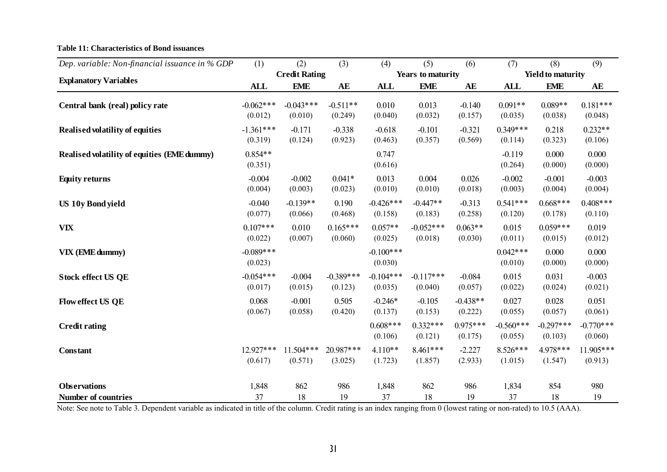#### **Table 11: Characteristics of Bond issuances**

| Dep. variable: Non-financial issuance in % GDP | (1)                    | (2)         | (3)                      | (4)                    | (5)                   | (6)                      | (7)                    | (8)                    | (9)                    |
|------------------------------------------------|------------------------|-------------|--------------------------|------------------------|-----------------------|--------------------------|------------------------|------------------------|------------------------|
| <b>Explanatory Variables</b>                   | <b>Credit Rating</b>   |             | <b>Years to maturity</b> |                        |                       | <b>Yield to maturity</b> |                        |                        |                        |
|                                                | <b>ALL</b>             | <b>EME</b>  | AE                       | <b>ALL</b>             | <b>EME</b>            | AE                       | <b>ALL</b>             | <b>EME</b>             | AE                     |
| Central bank (real) policy rate                | $-0.062***$            | $-0.043***$ | $-0.511**$               | 0.010                  | 0.013                 | $-0.140$                 | $0.091**$              | $0.089**$              | $0.181***$             |
|                                                | (0.012)                | (0.010)     | (0.249)                  | (0.040)                | (0.032)               | (0.157)                  | (0.035)                | (0.038)                | (0.048)                |
| <b>Realised volatility of equities</b>         | $-1.361***$            | $-0.171$    | $-0.338$                 | $-0.618$               | $-0.101$              | $-0.321$                 | $0.349***$             | 0.218                  | $0.232**$              |
|                                                | (0.319)                | (0.124)     | (0.923)                  | (0.463)                | (0.357)               | (0.569)                  | (0.114)                | (0.323)                | (0.106)                |
| Realised volatility of equities (EME dummy)    | $0.854**$<br>(0.351)   |             |                          | 0.747<br>(0.616)       |                       |                          | $-0.119$<br>(0.264)    | 0.000<br>(0.000)       | 0.000<br>(0.000)       |
| <b>Equity returns</b>                          | $-0.004$               | $-0.002$    | $0.041*$                 | 0.013                  | 0.004                 | 0.026                    | $-0.002$               | $-0.001$               | $-0.003$               |
|                                                | (0.004)                | (0.003)     | (0.023)                  | (0.010)                | (0.010)               | (0.018)                  | (0.003)                | (0.004)                | (0.004)                |
| US 10y Bond yield                              | $-0.040$               | $-0.139**$  | 0.190                    | $-0.426***$            | $-0.447**$            | $-0.313$                 | $0.541***$             | $0.668***$             | $0.408***$             |
|                                                | (0.077)                | (0.066)     | (0.468)                  | (0.158)                | (0.183)               | (0.258)                  | (0.120)                | (0.178)                | (0.110)                |
| <b>VIX</b>                                     | $0.107***$             | 0.010       | $0.165***$               | $0.057**$              | $-0.052***$           | $0.063**$                | 0.015                  | $0.059***$             | 0.019                  |
|                                                | (0.022)                | (0.007)     | (0.060)                  | (0.025)                | (0.018)               | (0.030)                  | (0.011)                | (0.015)                | (0.012)                |
| <b>VIX (EME dummy)</b>                         | $-0.089***$<br>(0.023) |             |                          | $-0.100***$<br>(0.030) |                       |                          | $0.042***$<br>(0.010)  | 0.000<br>(0.000)       | 0.000<br>(0.000)       |
| <b>Stock effect US QE</b>                      | $-0.054***$            | $-0.004$    | $-0.389***$              | $-0.104***$            | $-0.117***$           | $-0.084$                 | 0.015                  | 0.031                  | $-0.003$               |
|                                                | (0.017)                | (0.015)     | (0.123)                  | (0.035)                | (0.040)               | (0.057)                  | (0.022)                | (0.024)                | (0.021)                |
| <b>Flow effect US QE</b>                       | 0.068                  | $-0.001$    | 0.505                    | $-0.246*$              | $-0.105$              | $-0.438**$               | 0.027                  | 0.028                  | 0.051                  |
|                                                | (0.067)                | (0.058)     | (0.420)                  | (0.137)                | (0.153)               | (0.222)                  | (0.055)                | (0.057)                | (0.061)                |
| <b>Credit rating</b>                           |                        |             |                          | $0.608***$<br>(0.106)  | $0.332***$<br>(0.121) | $0.975***$<br>(0.175)    | $-0.560***$<br>(0.055) | $-0.297***$<br>(0.103) | $-0.770***$<br>(0.060) |
| Constant                                       | 12.927***              | $11.504***$ | 20.987***                | $4.110**$              | 8.461***              | $-2.227$                 | $8.526***$             | 4.978***               | 11.905***              |
|                                                | (0.617)                | (0.571)     | (3.025)                  | (1.723)                | (1.857)               | (2.933)                  | (1.015)                | (1.547)                | (0.913)                |
| <b>Observations</b>                            | 1,848                  | 862         | 986                      | 1,848                  | 862                   | 986                      | 1,834                  | 854                    | 980                    |
| <b>Number of countries</b>                     | 37                     | 18          | 19                       | 37                     | 18                    | 19                       | 37                     | 18                     | 19                     |

Note: See note to Table 3. Dependent variable as indicated in title of the column. Credit rating is an index ranging from 0 (lowest rating or non-rated) to 10.5 (AAA).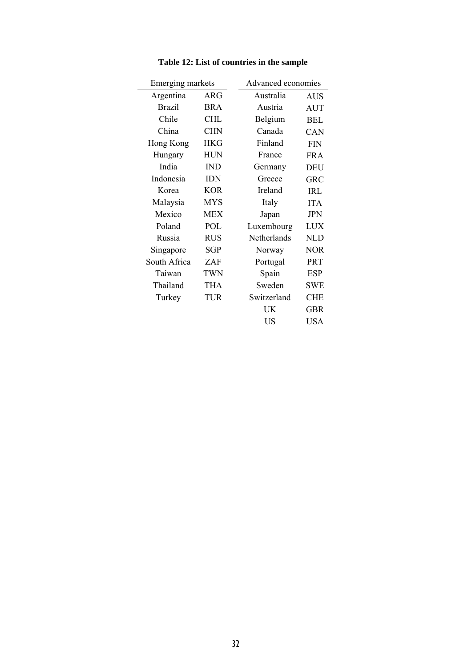| <b>Emerging markets</b> |            |             | Advanced economies |  |  |  |  |
|-------------------------|------------|-------------|--------------------|--|--|--|--|
| Argentina               | ARG        | Australia   | AUS                |  |  |  |  |
| <b>Brazil</b>           | <b>BRA</b> | Austria     | <b>AUT</b>         |  |  |  |  |
| Chile                   | <b>CHL</b> | Belgium     | BEL                |  |  |  |  |
| China                   | <b>CHN</b> | Canada      | CAN                |  |  |  |  |
| Hong Kong               | <b>HKG</b> | Finland     | <b>FIN</b>         |  |  |  |  |
| Hungary                 | <b>HUN</b> | France      | <b>FRA</b>         |  |  |  |  |
| India                   | <b>IND</b> | Germany     | <b>DEU</b>         |  |  |  |  |
| Indonesia               | <b>IDN</b> | Greece      | <b>GRC</b>         |  |  |  |  |
| Korea                   | <b>KOR</b> | Ireland     | <b>IRL</b>         |  |  |  |  |
| Malaysia                | <b>MYS</b> | Italy       | <b>ITA</b>         |  |  |  |  |
| Mexico                  | MEX        | Japan       | <b>JPN</b>         |  |  |  |  |
| Poland                  | POL        | Luxembourg  | <b>LUX</b>         |  |  |  |  |
| Russia                  | <b>RUS</b> | Netherlands | NLD                |  |  |  |  |
| Singapore               | <b>SGP</b> | Norway      | <b>NOR</b>         |  |  |  |  |
| South Africa            | ZAF        | Portugal    | <b>PRT</b>         |  |  |  |  |
| Taiwan                  | <b>TWN</b> | Spain       | <b>ESP</b>         |  |  |  |  |
| Thailand                | THA        | Sweden      | SWE                |  |  |  |  |
| Turkey                  | <b>TUR</b> | Switzerland | <b>CHE</b>         |  |  |  |  |
|                         |            | UK          | <b>GBR</b>         |  |  |  |  |
|                         |            | <b>US</b>   | <b>USA</b>         |  |  |  |  |

**Table 12: List of countries in the sample**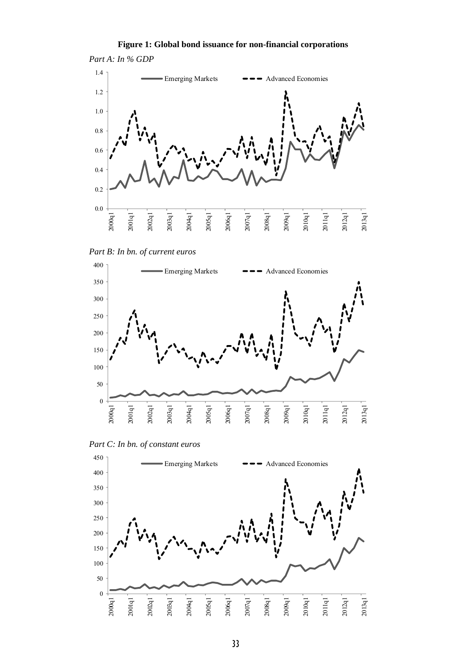**Figure 1: Global bond issuance for non-financial corporations** 



*Part B: In bn. of current euros* 





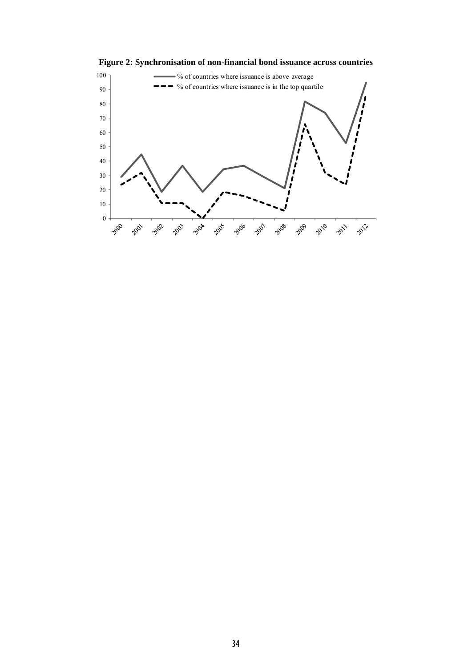

**Figure 2: Synchronisation of non-financial bond issuance across countries**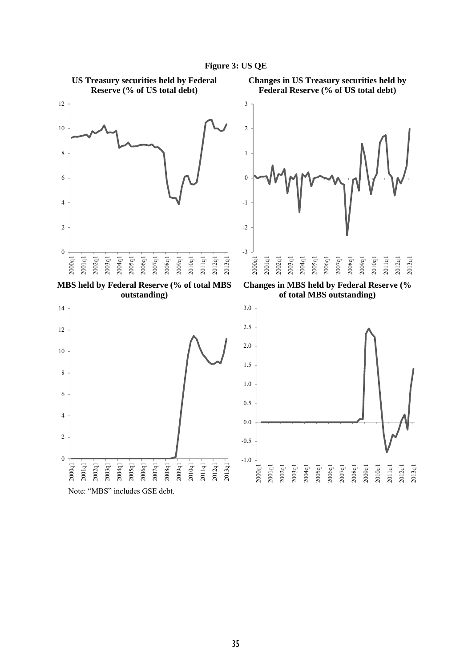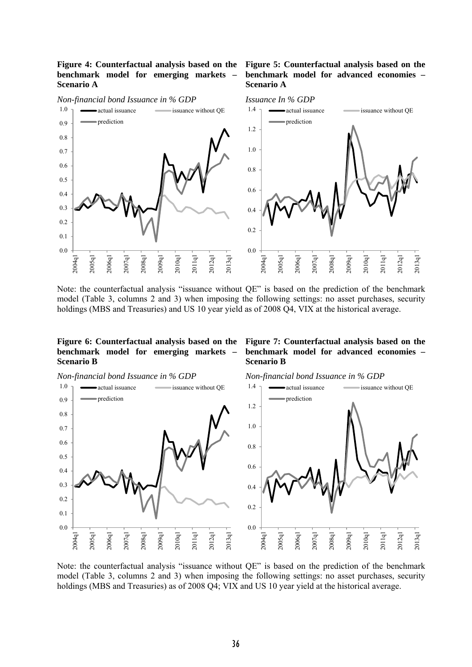**Figure 4: Counterfactual analysis based on the benchmark model for emerging markets – Scenario A** 

## **Figure 5: Counterfactual analysis based on the benchmark model for advanced economies – Scenario A**



Note: the counterfactual analysis "issuance without QE" is based on the prediction of the benchmark model (Table 3, columns 2 and 3) when imposing the following settings: no asset purchases, security holdings (MBS and Treasuries) and US 10 year yield as of 2008 Q4, VIX at the historical average.

#### **Figure 6: Counterfactual analysis based on the benchmark model for emerging markets – Scenario B**

**Figure 7: Counterfactual analysis based on the benchmark model for advanced economies – Scenario B** 



Note: the counterfactual analysis "issuance without QE" is based on the prediction of the benchmark model (Table 3, columns 2 and 3) when imposing the following settings: no asset purchases, security holdings (MBS and Treasuries) as of 2008 Q4; VIX and US 10 year yield at the historical average.

*Non-financial bond Issuance in % GDP*